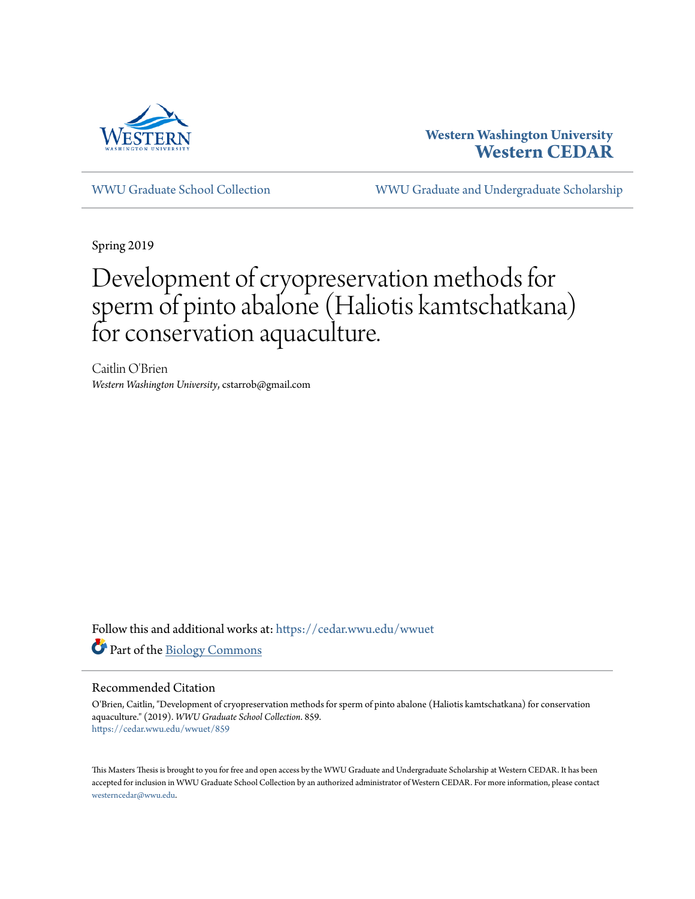

# **Western Washington University [Western CEDAR](https://cedar.wwu.edu/?utm_source=cedar.wwu.edu%2Fwwuet%2F859&utm_medium=PDF&utm_campaign=PDFCoverPages)**

[WWU Graduate School Collection](https://cedar.wwu.edu/wwuet?utm_source=cedar.wwu.edu%2Fwwuet%2F859&utm_medium=PDF&utm_campaign=PDFCoverPages) [WWU Graduate and Undergraduate Scholarship](https://cedar.wwu.edu/grad_ugrad_schol?utm_source=cedar.wwu.edu%2Fwwuet%2F859&utm_medium=PDF&utm_campaign=PDFCoverPages)

Spring 2019

# Development of cryopreservation methods for sperm of pinto abalone (Haliotis kamtschatkana) for conservation aquaculture.

Caitlin O'Brien *Western Washington University*, cstarrob@gmail.com

Follow this and additional works at: [https://cedar.wwu.edu/wwuet](https://cedar.wwu.edu/wwuet?utm_source=cedar.wwu.edu%2Fwwuet%2F859&utm_medium=PDF&utm_campaign=PDFCoverPages) Part of the [Biology Commons](http://network.bepress.com/hgg/discipline/41?utm_source=cedar.wwu.edu%2Fwwuet%2F859&utm_medium=PDF&utm_campaign=PDFCoverPages)

# Recommended Citation

O'Brien, Caitlin, "Development of cryopreservation methods for sperm of pinto abalone (Haliotis kamtschatkana) for conservation aquaculture." (2019). *WWU Graduate School Collection*. 859. [https://cedar.wwu.edu/wwuet/859](https://cedar.wwu.edu/wwuet/859?utm_source=cedar.wwu.edu%2Fwwuet%2F859&utm_medium=PDF&utm_campaign=PDFCoverPages)

This Masters Thesis is brought to you for free and open access by the WWU Graduate and Undergraduate Scholarship at Western CEDAR. It has been accepted for inclusion in WWU Graduate School Collection by an authorized administrator of Western CEDAR. For more information, please contact [westerncedar@wwu.edu](mailto:westerncedar@wwu.edu).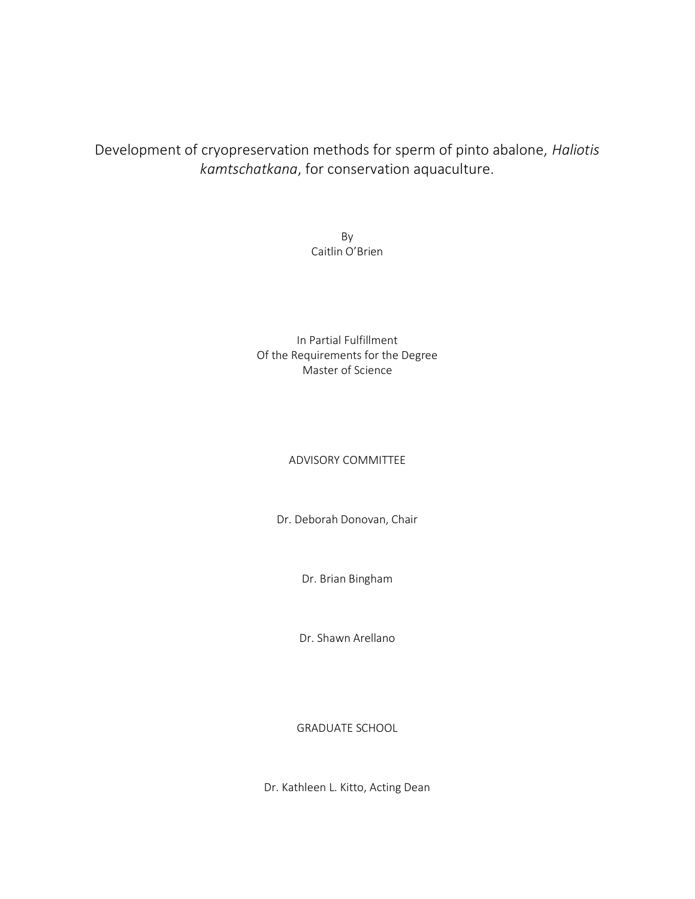# Development of cryopreservation methods for sperm of pinto abalone, *Haliotis kamtschatkana*, for conservation aquaculture.

By Caitlin O'Brien

In Partial Fulfillment Of the Requirements for the Degree Master of Science

# ADVISORY COMMITTEE

Dr. Deborah Donovan, Chair

Dr. Brian Bingham

Dr. Shawn Arellano

GRADUATE SCHOOL

Dr. Kathleen L. Kitto, Acting Dean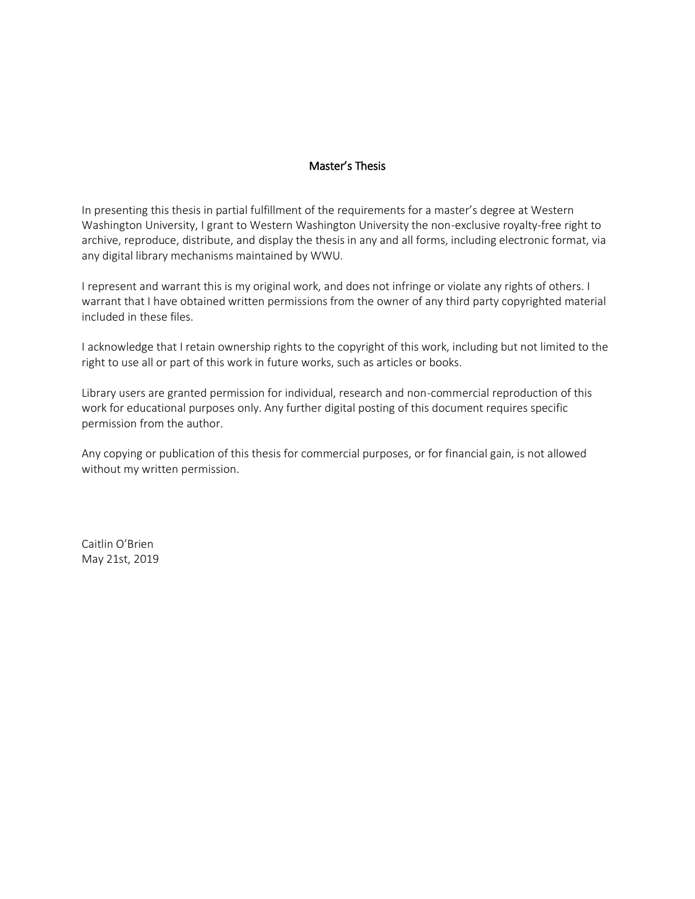# Master's Thesis

In presenting this thesis in partial fulfillment of the requirements for a master's degree at Western Washington University, I grant to Western Washington University the non-exclusive royalty-free right to archive, reproduce, distribute, and display the thesis in any and all forms, including electronic format, via any digital library mechanisms maintained by WWU.

I represent and warrant this is my original work, and does not infringe or violate any rights of others. I warrant that I have obtained written permissions from the owner of any third party copyrighted material included in these files.

I acknowledge that I retain ownership rights to the copyright of this work, including but not limited to the right to use all or part of this work in future works, such as articles or books.

Library users are granted permission for individual, research and non-commercial reproduction of this work for educational purposes only. Any further digital posting of this document requires specific permission from the author.

Any copying or publication of this thesis for commercial purposes, or for financial gain, is not allowed without my written permission.

Caitlin O'Brien May 21st, 2019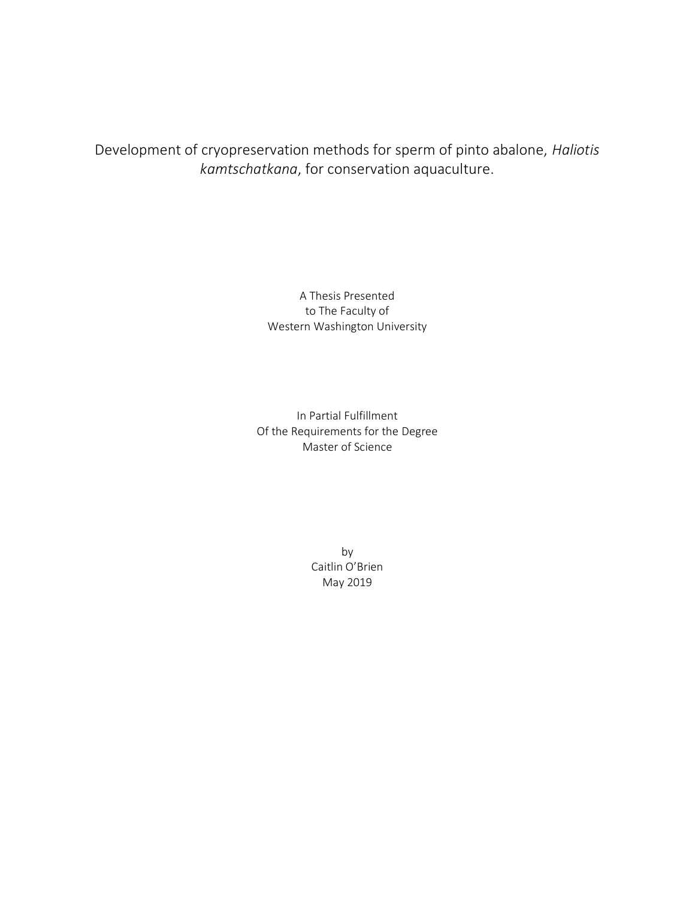Development of cryopreservation methods for sperm of pinto abalone, *Haliotis kamtschatkana*, for conservation aquaculture.

> A Thesis Presented to The Faculty of Western Washington University

In Partial Fulfillment Of the Requirements for the Degree Master of Science

> by Caitlin O'Brien May 2019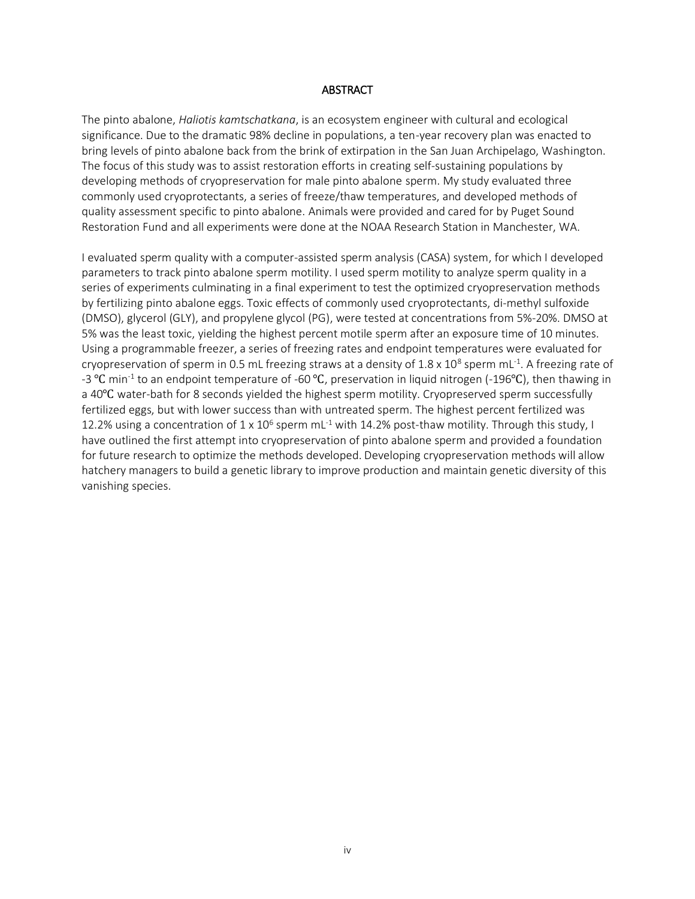### **ABSTRACT**

The pinto abalone, *Haliotis kamtschatkana*, is an ecosystem engineer with cultural and ecological significance. Due to the dramatic 98% decline in populations, a ten-year recovery plan was enacted to bring levels of pinto abalone back from the brink of extirpation in the San Juan Archipelago, Washington. The focus of this study was to assist restoration efforts in creating self-sustaining populations by developing methods of cryopreservation for male pinto abalone sperm. My study evaluated three commonly used cryoprotectants, a series of freeze/thaw temperatures, and developed methods of quality assessment specific to pinto abalone. Animals were provided and cared for by Puget Sound Restoration Fund and all experiments were done at the NOAA Research Station in Manchester, WA.

I evaluated sperm quality with a computer-assisted sperm analysis (CASA) system, for which I developed parameters to track pinto abalone sperm motility. I used sperm motility to analyze sperm quality in a series of experiments culminating in a final experiment to test the optimized cryopreservation methods by fertilizing pinto abalone eggs. Toxic effects of commonly used cryoprotectants, di-methyl sulfoxide (DMSO), glycerol (GLY), and propylene glycol (PG), were tested at concentrations from 5%-20%. DMSO at 5% was the least toxic, yielding the highest percent motile sperm after an exposure time of 10 minutes. Using a programmable freezer, a series of freezing rates and endpoint temperatures were evaluated for cryopreservation of sperm in 0.5 mL freezing straws at a density of 1.8 x 10<sup>8</sup> sperm mL<sup>-1</sup>. A freezing rate of -3 °C min<sup>-1</sup> to an endpoint temperature of -60 °C, preservation in liquid nitrogen (-196°C), then thawing in a 40℃ water-bath for 8 seconds yielded the highest sperm motility. Cryopreserved sperm successfully fertilized eggs, but with lower success than with untreated sperm. The highest percent fertilized was 12.2% using a concentration of 1 x 10<sup>6</sup> sperm mL<sup>-1</sup> with 14.2% post-thaw motility. Through this study, I have outlined the first attempt into cryopreservation of pinto abalone sperm and provided a foundation for future research to optimize the methods developed. Developing cryopreservation methods will allow hatchery managers to build a genetic library to improve production and maintain genetic diversity of this vanishing species.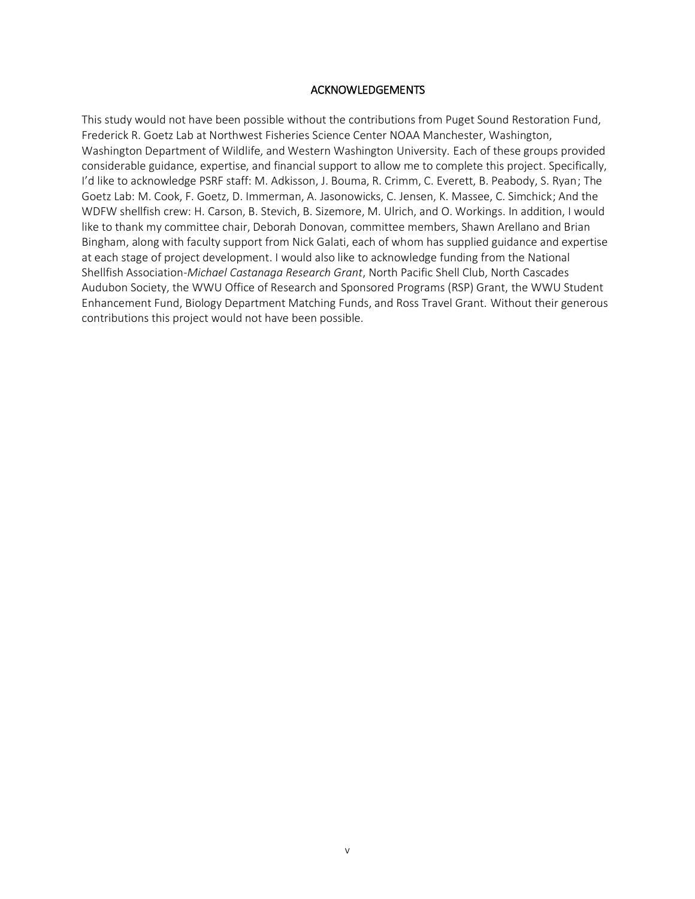# ACKNOWLEDGEMENTS

This study would not have been possible without the contributions from Puget Sound Restoration Fund, Frederick R. Goetz Lab at Northwest Fisheries Science Center NOAA Manchester, Washington, Washington Department of Wildlife, and Western Washington University. Each of these groups provided considerable guidance, expertise, and financial support to allow me to complete this project. Specifically, I'd like to acknowledge PSRF staff: M. Adkisson, J. Bouma, R. Crimm, C. Everett, B. Peabody, S. Ryan; The Goetz Lab: M. Cook, F. Goetz, D. Immerman, A. Jasonowicks, C. Jensen, K. Massee, C. Simchick; And the WDFW shellfish crew: H. Carson, B. Stevich, B. Sizemore, M. Ulrich, and O. Workings. In addition, I would like to thank my committee chair, Deborah Donovan, committee members, Shawn Arellano and Brian Bingham, along with faculty support from Nick Galati, each of whom has supplied guidance and expertise at each stage of project development. I would also like to acknowledge funding from the National Shellfish Association-*Michael Castanaga Research Grant*, North Pacific Shell Club, North Cascades Audubon Society, the WWU Office of Research and Sponsored Programs (RSP) Grant, the WWU Student Enhancement Fund, Biology Department Matching Funds, and Ross Travel Grant. Without their generous contributions this project would not have been possible.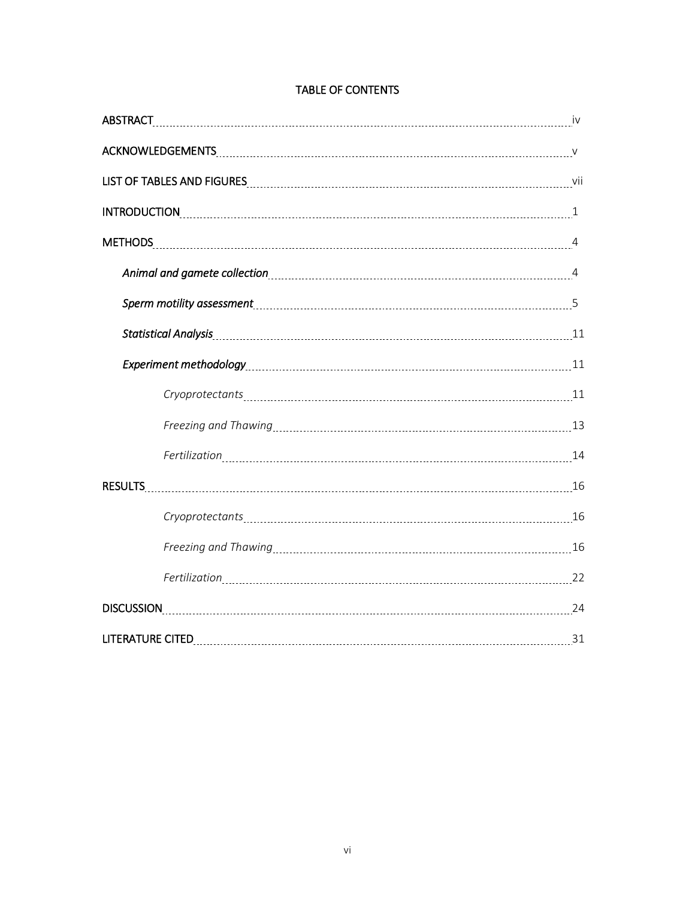| Statistical Analysis Mathematical Analysis 11 |  |
|-----------------------------------------------|--|
|                                               |  |
|                                               |  |
|                                               |  |
|                                               |  |
|                                               |  |
|                                               |  |
|                                               |  |
|                                               |  |
| DISCUSSION 24                                 |  |
|                                               |  |

# TABLE OF CONTENTS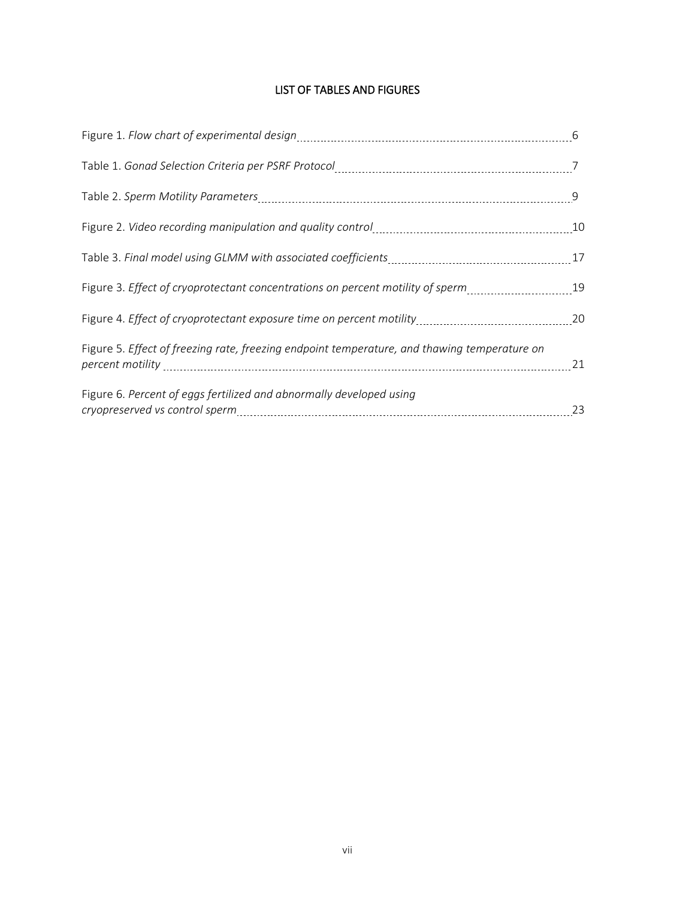# LIST OF TABLES AND FIGURES

| Figure 1. Flow chart of experimental design [11] The Content Content of experimental content of experimental design |    |
|---------------------------------------------------------------------------------------------------------------------|----|
|                                                                                                                     |    |
| Table 2. Sperm Motility Parameters [11] [12] Table 2. Sperm Motility Parameters [11] Annance Marcus (12] Table      | 9  |
|                                                                                                                     |    |
|                                                                                                                     |    |
| Figure 3. Effect of cryoprotectant concentrations on percent motility of sperm19                                    |    |
|                                                                                                                     |    |
| Figure 5. Effect of freezing rate, freezing endpoint temperature, and thawing temperature on                        | 21 |
| Figure 6. Percent of eggs fertilized and abnormally developed using                                                 | 23 |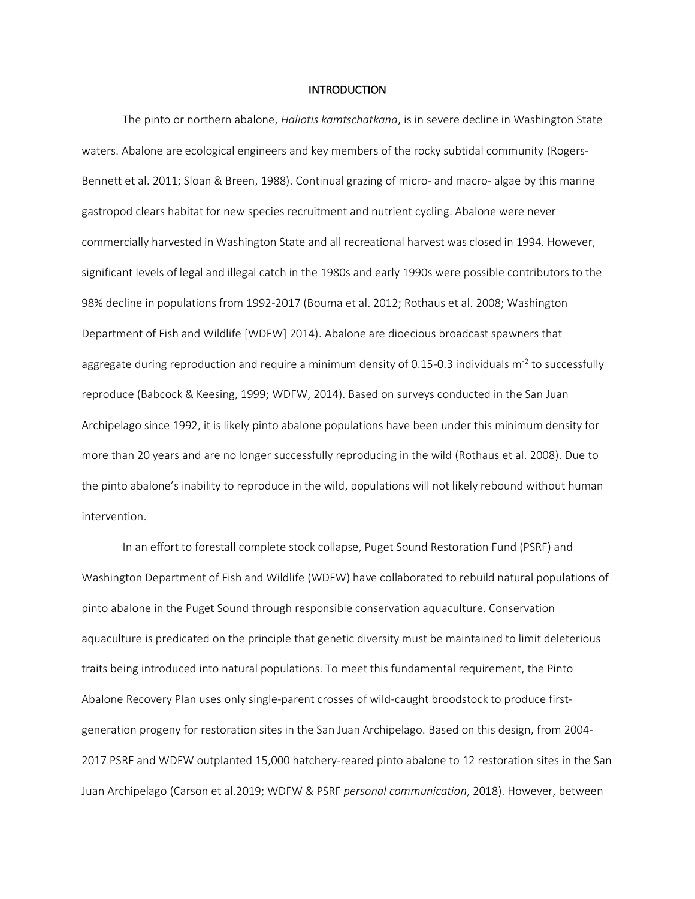#### **INTRODUCTION**

The pinto or northern abalone, *Haliotis kamtschatkana*, is in severe decline in Washington State waters. Abalone are ecological engineers and key members of the rocky subtidal community (Rogers-Bennett et al. 2011; Sloan & Breen, 1988). Continual grazing of micro- and macro- algae by this marine gastropod clears habitat for new species recruitment and nutrient cycling. Abalone were never commercially harvested in Washington State and all recreational harvest was closed in 1994. However, significant levels of legal and illegal catch in the 1980s and early 1990s were possible contributors to the 98% decline in populations from 1992-2017 (Bouma et al. 2012; Rothaus et al. 2008; Washington Department of Fish and Wildlife [WDFW] 2014). Abalone are dioecious broadcast spawners that aggregate during reproduction and require a minimum density of 0.15-0.3 individuals m<sup>-2</sup> to successfully reproduce (Babcock & Keesing, 1999; WDFW, 2014). Based on surveys conducted in the San Juan Archipelago since 1992, it is likely pinto abalone populations have been under this minimum density for more than 20 years and are no longer successfully reproducing in the wild (Rothaus et al. 2008). Due to the pinto abalone's inability to reproduce in the wild, populations will not likely rebound without human intervention.

In an effort to forestall complete stock collapse, Puget Sound Restoration Fund (PSRF) and Washington Department of Fish and Wildlife (WDFW) have collaborated to rebuild natural populations of pinto abalone in the Puget Sound through responsible conservation aquaculture. Conservation aquaculture is predicated on the principle that genetic diversity must be maintained to limit deleterious traits being introduced into natural populations. To meet this fundamental requirement, the Pinto Abalone Recovery Plan uses only single-parent crosses of wild-caught broodstock to produce firstgeneration progeny for restoration sites in the San Juan Archipelago. Based on this design, from 2004- 2017 PSRF and WDFW outplanted 15,000 hatchery-reared pinto abalone to 12 restoration sites in the San Juan Archipelago (Carson et al.2019; WDFW & PSRF *personal communication*, 2018). However, between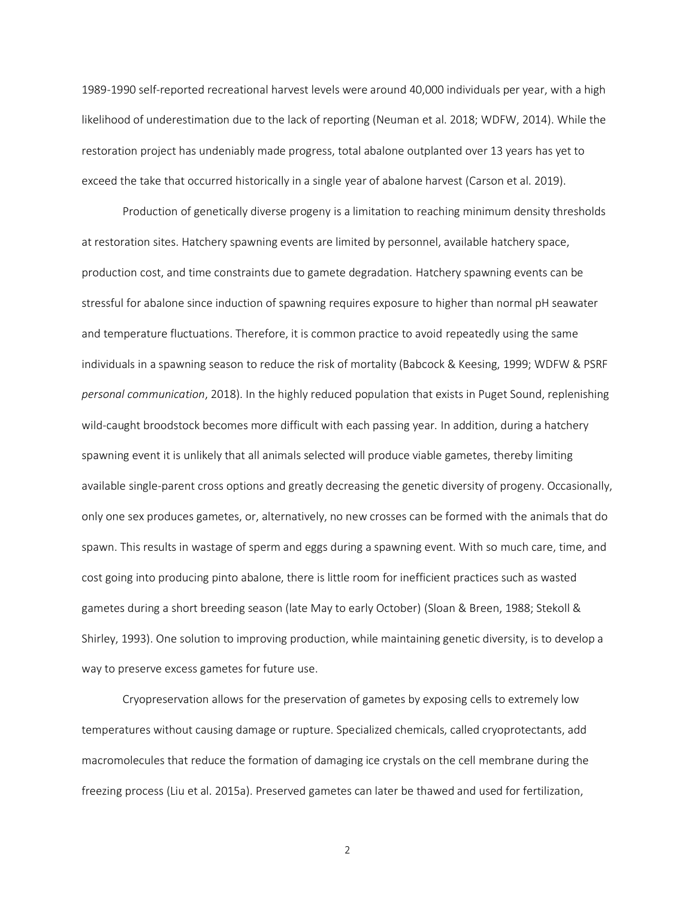1989-1990 self-reported recreational harvest levels were around 40,000 individuals per year, with a high likelihood of underestimation due to the lack of reporting (Neuman et al. 2018; WDFW, 2014). While the restoration project has undeniably made progress, total abalone outplanted over 13 years has yet to exceed the take that occurred historically in a single year of abalone harvest (Carson et al. 2019).

Production of genetically diverse progeny is a limitation to reaching minimum density thresholds at restoration sites. Hatchery spawning events are limited by personnel, available hatchery space, production cost, and time constraints due to gamete degradation. Hatchery spawning events can be stressful for abalone since induction of spawning requires exposure to higher than normal pH seawater and temperature fluctuations. Therefore, it is common practice to avoid repeatedly using the same individuals in a spawning season to reduce the risk of mortality (Babcock & Keesing, 1999; WDFW & PSRF *personal communication*, 2018). In the highly reduced population that exists in Puget Sound, replenishing wild-caught broodstock becomes more difficult with each passing year. In addition, during a hatchery spawning event it is unlikely that all animals selected will produce viable gametes, thereby limiting available single-parent cross options and greatly decreasing the genetic diversity of progeny. Occasionally, only one sex produces gametes, or, alternatively, no new crosses can be formed with the animals that do spawn. This results in wastage of sperm and eggs during a spawning event. With so much care, time, and cost going into producing pinto abalone, there is little room for inefficient practices such as wasted gametes during a short breeding season (late May to early October) (Sloan & Breen, 1988; Stekoll & Shirley, 1993). One solution to improving production, while maintaining genetic diversity, is to develop a way to preserve excess gametes for future use.

Cryopreservation allows for the preservation of gametes by exposing cells to extremely low temperatures without causing damage or rupture. Specialized chemicals, called cryoprotectants, add macromolecules that reduce the formation of damaging ice crystals on the cell membrane during the freezing process (Liu et al. 2015a). Preserved gametes can later be thawed and used for fertilization,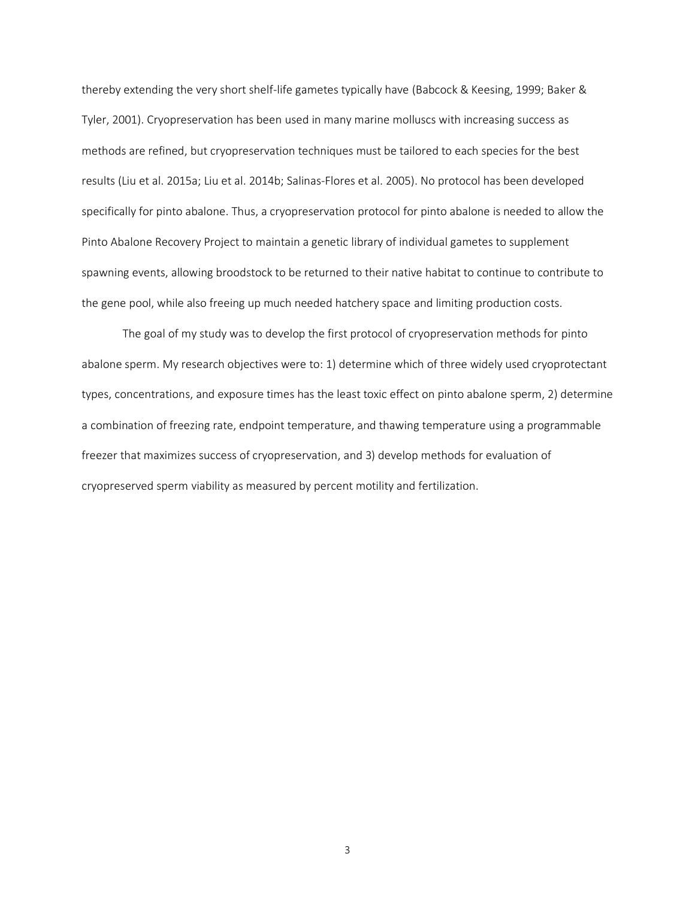thereby extending the very short shelf-life gametes typically have (Babcock & Keesing, 1999; Baker & Tyler, 2001). Cryopreservation has been used in many marine molluscs with increasing success as methods are refined, but cryopreservation techniques must be tailored to each species for the best results (Liu et al. 2015a; Liu et al. 2014b; Salinas-Flores et al. 2005). No protocol has been developed specifically for pinto abalone. Thus, a cryopreservation protocol for pinto abalone is needed to allow the Pinto Abalone Recovery Project to maintain a genetic library of individual gametes to supplement spawning events, allowing broodstock to be returned to their native habitat to continue to contribute to the gene pool, while also freeing up much needed hatchery space and limiting production costs.

The goal of my study was to develop the first protocol of cryopreservation methods for pinto abalone sperm. My research objectives were to: 1) determine which of three widely used cryoprotectant types, concentrations, and exposure times has the least toxic effect on pinto abalone sperm, 2) determine a combination of freezing rate, endpoint temperature, and thawing temperature using a programmable freezer that maximizes success of cryopreservation, and 3) develop methods for evaluation of cryopreserved sperm viability as measured by percent motility and fertilization.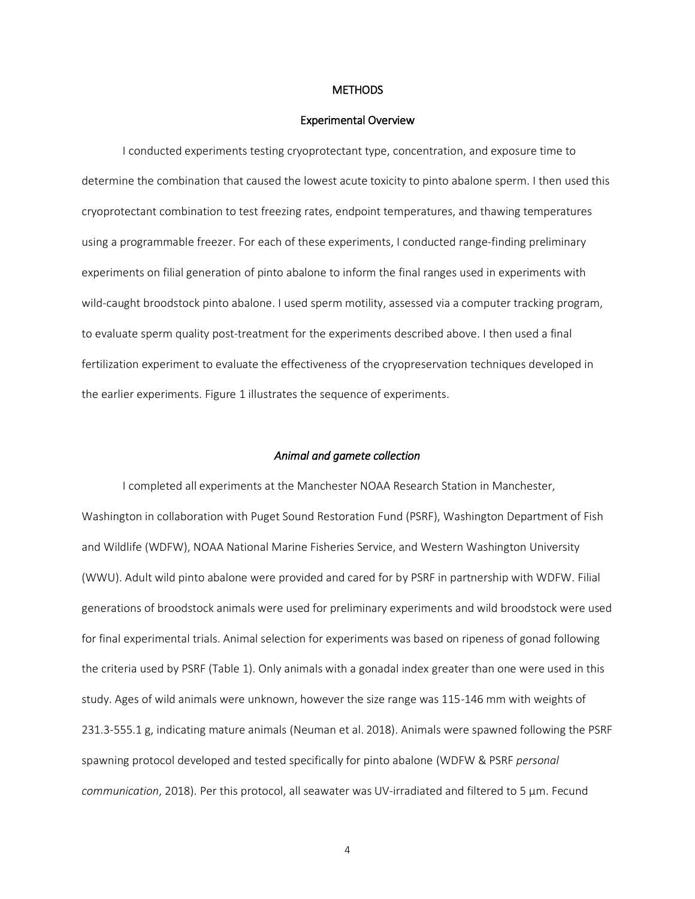#### **METHODS**

#### Experimental Overview

I conducted experiments testing cryoprotectant type, concentration, and exposure time to determine the combination that caused the lowest acute toxicity to pinto abalone sperm. I then used this cryoprotectant combination to test freezing rates, endpoint temperatures, and thawing temperatures using a programmable freezer. For each of these experiments, I conducted range-finding preliminary experiments on filial generation of pinto abalone to inform the final ranges used in experiments with wild-caught broodstock pinto abalone. I used sperm motility, assessed via a computer tracking program, to evaluate sperm quality post-treatment for the experiments described above. I then used a final fertilization experiment to evaluate the effectiveness of the cryopreservation techniques developed in the earlier experiments. Figure 1 illustrates the sequence of experiments.

# *Animal and gamete collection*

I completed all experiments at the Manchester NOAA Research Station in Manchester, Washington in collaboration with Puget Sound Restoration Fund (PSRF), Washington Department of Fish and Wildlife (WDFW), NOAA National Marine Fisheries Service, and Western Washington University (WWU). Adult wild pinto abalone were provided and cared for by PSRF in partnership with WDFW. Filial generations of broodstock animals were used for preliminary experiments and wild broodstock were used for final experimental trials. Animal selection for experiments was based on ripeness of gonad following the criteria used by PSRF (Table 1). Only animals with a gonadal index greater than one were used in this study. Ages of wild animals were unknown, however the size range was 115-146 mm with weights of 231.3-555.1 g, indicating mature animals (Neuman et al. 2018). Animals were spawned following the PSRF spawning protocol developed and tested specifically for pinto abalone (WDFW & PSRF *personal communication*, 2018). Per this protocol, all seawater was UV-irradiated and filtered to 5 μm. Fecund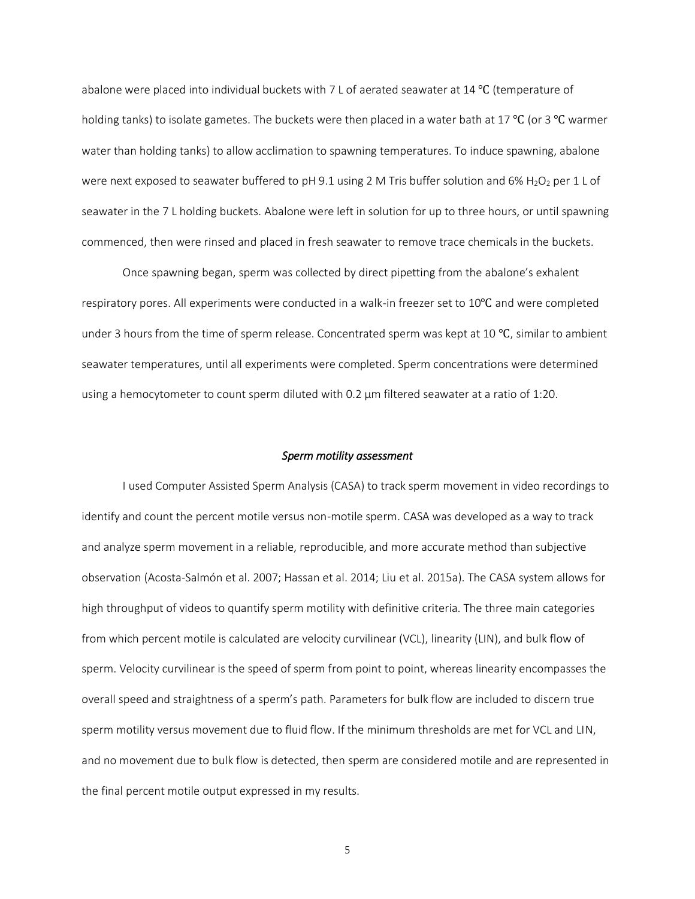abalone were placed into individual buckets with 7 L of aerated seawater at 14 ℃ (temperature of holding tanks) to isolate gametes. The buckets were then placed in a water bath at 17 ℃ (or 3 ℃ warmer water than holding tanks) to allow acclimation to spawning temperatures. To induce spawning, abalone were next exposed to seawater buffered to pH 9.1 using 2 M Tris buffer solution and 6% H<sub>2</sub>O<sub>2</sub> per 1 L of seawater in the 7 L holding buckets. Abalone were left in solution for up to three hours, or until spawning commenced, then were rinsed and placed in fresh seawater to remove trace chemicals in the buckets.

Once spawning began, sperm was collected by direct pipetting from the abalone's exhalent respiratory pores. All experiments were conducted in a walk-in freezer set to 10℃ and were completed under 3 hours from the time of sperm release. Concentrated sperm was kept at 10 °C, similar to ambient seawater temperatures, until all experiments were completed. Sperm concentrations were determined using a hemocytometer to count sperm diluted with 0.2 μm filtered seawater at a ratio of 1:20.

# *Sperm motility assessment*

I used Computer Assisted Sperm Analysis (CASA) to track sperm movement in video recordings to identify and count the percent motile versus non-motile sperm. CASA was developed as a way to track and analyze sperm movement in a reliable, reproducible, and more accurate method than subjective observation (Acosta-Salmón et al. 2007; Hassan et al. 2014; Liu et al. 2015a). The CASA system allows for high throughput of videos to quantify sperm motility with definitive criteria. The three main categories from which percent motile is calculated are velocity curvilinear (VCL), linearity (LIN), and bulk flow of sperm. Velocity curvilinear is the speed of sperm from point to point, whereas linearity encompasses the overall speed and straightness of a sperm's path. Parameters for bulk flow are included to discern true sperm motility versus movement due to fluid flow. If the minimum thresholds are met for VCL and LIN, and no movement due to bulk flow is detected, then sperm are considered motile and are represented in the final percent motile output expressed in my results.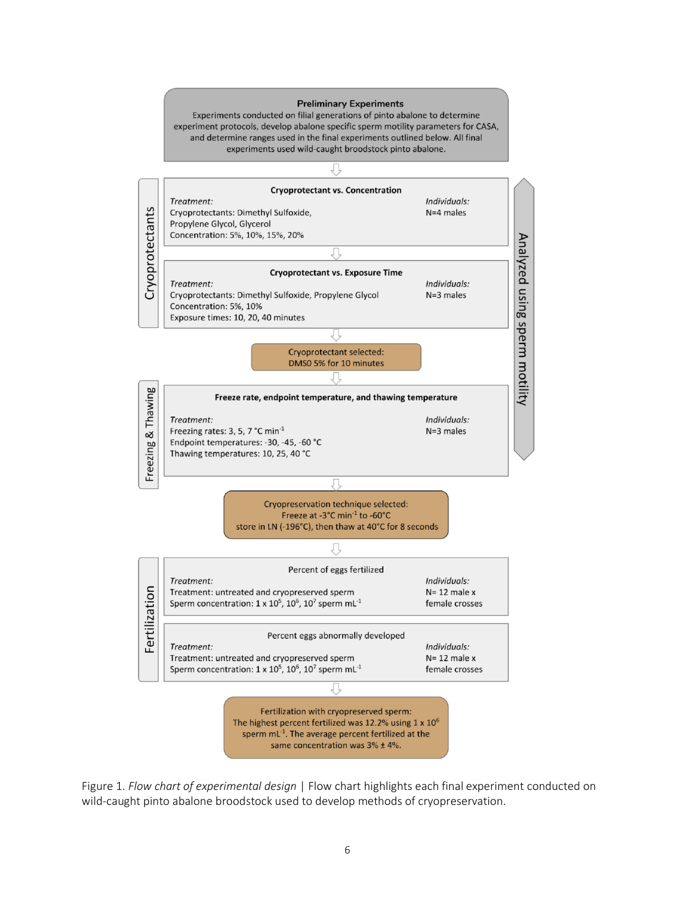#### **Preliminary Experiments**

Experiments conducted on filial generations of pinto abalone to determine experiment protocols, develop abalone specific sperm motility parameters for CASA, and determine ranges used in the final experiments outlined below. All final experiments used wild-caught broodstock pinto abalone.



Figure 1. *Flow chart of experimental design* | Flow chart highlights each final experiment conducted on wild-caught pinto abalone broodstock used to develop methods of cryopreservation.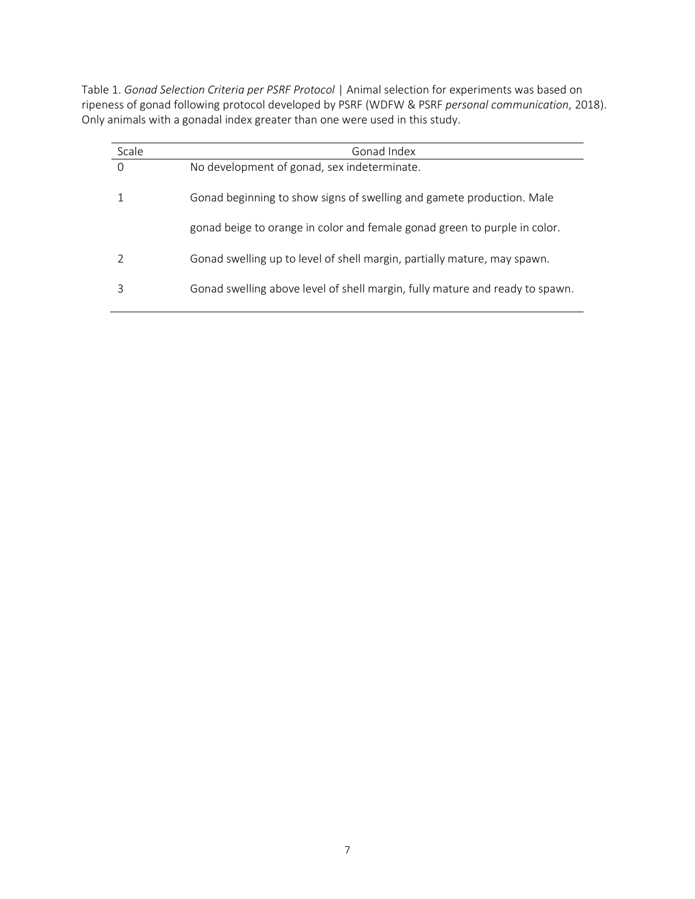Table 1. *Gonad Selection Criteria per PSRF Protocol* | Animal selection for experiments was based on ripeness of gonad following protocol developed by PSRF (WDFW & PSRF *personal communication*, 2018). Only animals with a gonadal index greater than one were used in this study.

| Scale    | Gonad Index                                                                  |
|----------|------------------------------------------------------------------------------|
| $\Omega$ | No development of gonad, sex indeterminate.                                  |
|          | Gonad beginning to show signs of swelling and gamete production. Male        |
|          | gonad beige to orange in color and female gonad green to purple in color.    |
|          | Gonad swelling up to level of shell margin, partially mature, may spawn.     |
|          | Gonad swelling above level of shell margin, fully mature and ready to spawn. |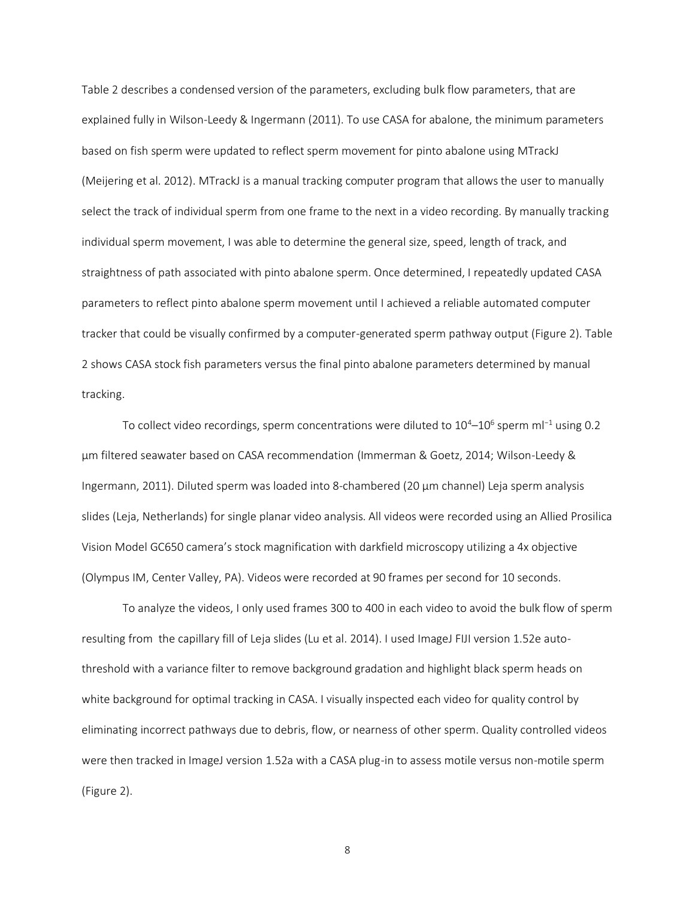Table 2 describes a condensed version of the parameters, excluding bulk flow parameters, that are explained fully in Wilson-Leedy & Ingermann (2011). To use CASA for abalone, the minimum parameters based on fish sperm were updated to reflect sperm movement for pinto abalone using MTrackJ (Meijering et al. 2012). MTrackJ is a manual tracking computer program that allows the user to manually select the track of individual sperm from one frame to the next in a video recording. By manually tracking individual sperm movement, I was able to determine the general size, speed, length of track, and straightness of path associated with pinto abalone sperm. Once determined, I repeatedly updated CASA parameters to reflect pinto abalone sperm movement until I achieved a reliable automated computer tracker that could be visually confirmed by a computer-generated sperm pathway output (Figure 2). Table 2 shows CASA stock fish parameters versus the final pinto abalone parameters determined by manual tracking.

To collect video recordings, sperm concentrations were diluted to  $10^{4}-10^{6}$  sperm ml<sup>-1</sup> using 0.2 μm filtered seawater based on CASA recommendation (Immerman & Goetz, 2014; Wilson-Leedy & Ingermann, 2011). Diluted sperm was loaded into 8-chambered (20 μm channel) Leja sperm analysis slides (Leja, Netherlands) for single planar video analysis. All videos were recorded using an Allied Prosilica Vision Model GC650 camera's stock magnification with darkfield microscopy utilizing a 4x objective (Olympus IM, Center Valley, PA). Videos were recorded at 90 frames per second for 10 seconds.

To analyze the videos, I only used frames 300 to 400 in each video to avoid the bulk flow of sperm resulting from the capillary fill of Leja slides (Lu et al. 2014). I used ImageJ FIJI version 1.52e autothreshold with a variance filter to remove background gradation and highlight black sperm heads on white background for optimal tracking in CASA. I visually inspected each video for quality control by eliminating incorrect pathways due to debris, flow, or nearness of other sperm. Quality controlled videos were then tracked in ImageJ version 1.52a with a CASA plug-in to assess motile versus non-motile sperm (Figure 2).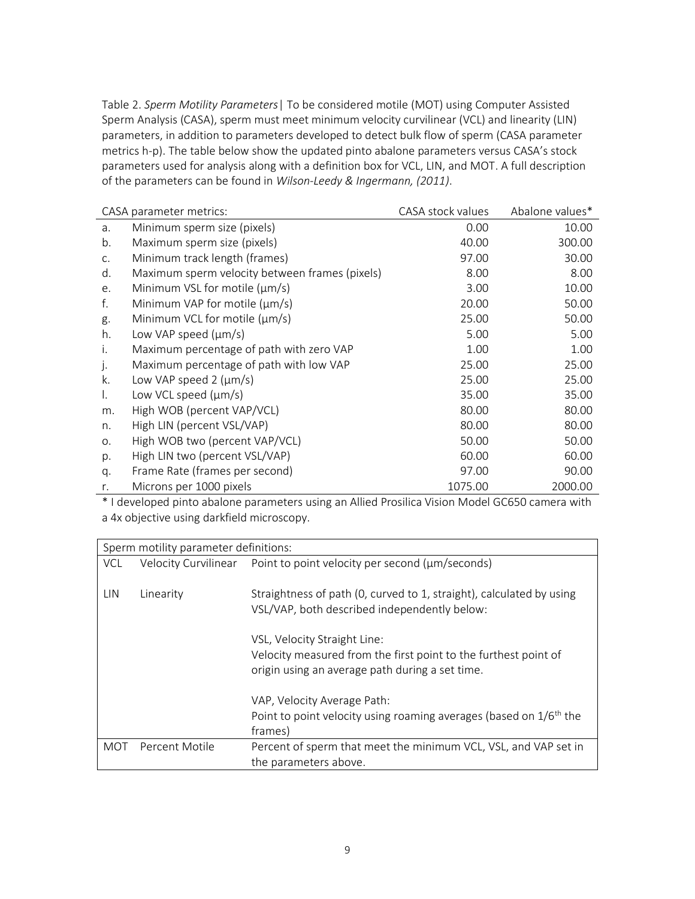Table 2. *Sperm Motility Parameters*| To be considered motile (MOT) using Computer Assisted Sperm Analysis (CASA), sperm must meet minimum velocity curvilinear (VCL) and linearity (LIN) parameters, in addition to parameters developed to detect bulk flow of sperm (CASA parameter metrics h-p). The table below show the updated pinto abalone parameters versus CASA's stock parameters used for analysis along with a definition box for VCL, LIN, and MOT. A full description of the parameters can be found in *Wilson-Leedy & Ingermann, (2011)*.

|    | CASA parameter metrics:                        | CASA stock values | Abalone values* |
|----|------------------------------------------------|-------------------|-----------------|
| a. | Minimum sperm size (pixels)                    | 0.00              | 10.00           |
| b. | Maximum sperm size (pixels)                    | 40.00             | 300.00          |
| C. | Minimum track length (frames)                  | 97.00             | 30.00           |
| d. | Maximum sperm velocity between frames (pixels) | 8.00              | 8.00            |
| е. | Minimum VSL for motile $(\mu m/s)$             | 3.00              | 10.00           |
| f. | Minimum VAP for motile (µm/s)                  | 20.00             | 50.00           |
| g. | Minimum VCL for motile $(\mu m/s)$             | 25.00             | 50.00           |
| h. | Low VAP speed $(\mu m/s)$                      | 5.00              | 5.00            |
| i. | Maximum percentage of path with zero VAP       | 1.00              | 1.00            |
| j. | Maximum percentage of path with low VAP        | 25.00             | 25.00           |
| k. | Low VAP speed $2 \, (\mu m/s)$                 | 25.00             | 25.00           |
| I. | Low VCL speed $(\mu m/s)$                      | 35.00             | 35.00           |
| m. | High WOB (percent VAP/VCL)                     | 80.00             | 80.00           |
| n. | High LIN (percent VSL/VAP)                     | 80.00             | 80.00           |
| О. | High WOB two (percent VAP/VCL)                 | 50.00             | 50.00           |
| p. | High LIN two (percent VSL/VAP)                 | 60.00             | 60.00           |
| q. | Frame Rate (frames per second)                 | 97.00             | 90.00           |
| r. | Microns per 1000 pixels                        | 1075.00           | 2000.00         |

\* I developed pinto abalone parameters using an Allied Prosilica Vision Model GC650 camera with a 4x objective using darkfield microscopy.

|            | Sperm motility parameter definitions: |                                                                                                                                                    |  |  |
|------------|---------------------------------------|----------------------------------------------------------------------------------------------------------------------------------------------------|--|--|
| <b>VCL</b> |                                       | Velocity Curvilinear Point to point velocity per second (um/seconds)                                                                               |  |  |
| LIN        | Linearity                             | Straightness of path (0, curved to 1, straight), calculated by using<br>VSL/VAP, both described independently below:                               |  |  |
|            |                                       | VSL, Velocity Straight Line:<br>Velocity measured from the first point to the furthest point of<br>origin using an average path during a set time. |  |  |
|            |                                       | VAP, Velocity Average Path:<br>Point to point velocity using roaming averages (based on $1/6th$ the<br>frames)                                     |  |  |
| MOT        | Percent Motile                        | Percent of sperm that meet the minimum VCL, VSL, and VAP set in<br>the parameters above.                                                           |  |  |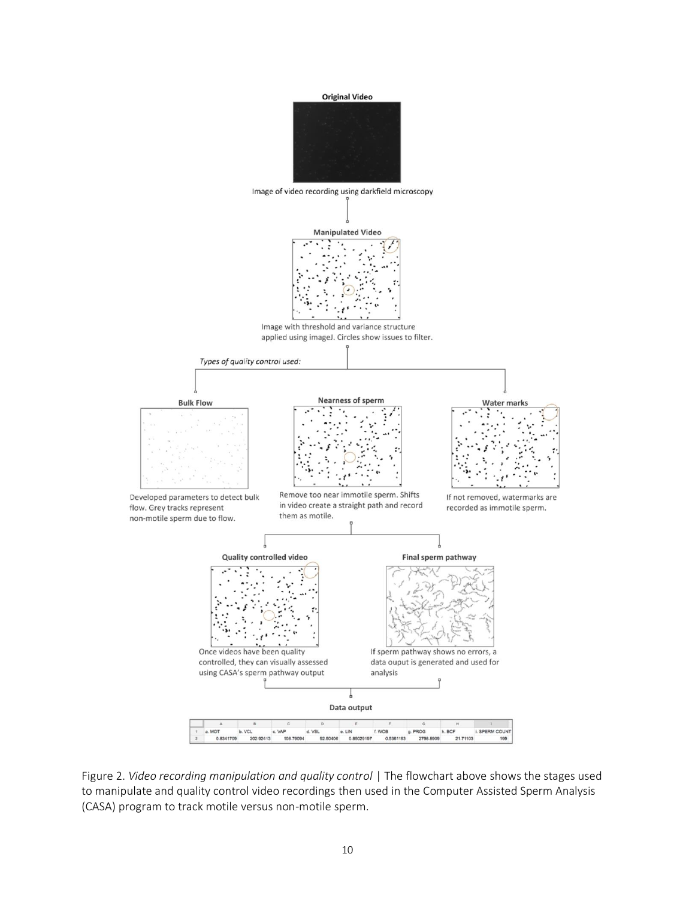

Figure 2. *Video recording manipulation and quality control* | The flowchart above shows the stages used to manipulate and quality control video recordings then used in the Computer Assisted Sperm Analysis (CASA) program to track motile versus non-motile sperm.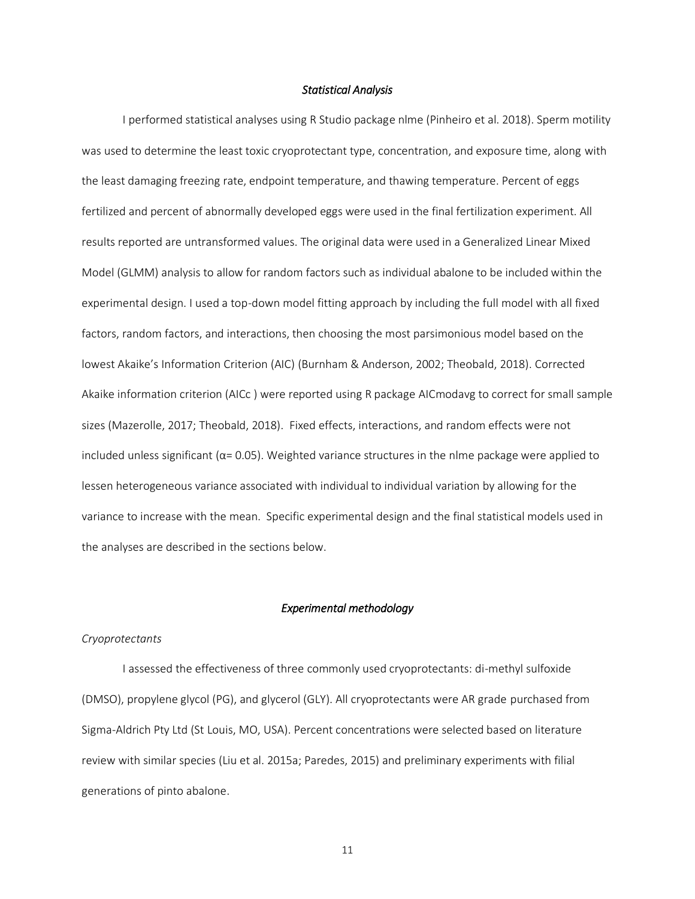### *Statistical Analysis*

I performed statistical analyses using R Studio package nlme (Pinheiro et al. 2018). Sperm motility was used to determine the least toxic cryoprotectant type, concentration, and exposure time, along with the least damaging freezing rate, endpoint temperature, and thawing temperature. Percent of eggs fertilized and percent of abnormally developed eggs were used in the final fertilization experiment. All results reported are untransformed values. The original data were used in a Generalized Linear Mixed Model (GLMM) analysis to allow for random factors such as individual abalone to be included within the experimental design. I used a top-down model fitting approach by including the full model with all fixed factors, random factors, and interactions, then choosing the most parsimonious model based on the lowest Akaike's Information Criterion (AIC) (Burnham & Anderson, 2002; Theobald, 2018). Corrected Akaike information criterion (AICc ) were reported using R package AICmodavg to correct for small sample sizes (Mazerolle, 2017; Theobald, 2018). Fixed effects, interactions, and random effects were not included unless significant ( $\alpha$ = 0.05). Weighted variance structures in the nlme package were applied to lessen heterogeneous variance associated with individual to individual variation by allowing for the variance to increase with the mean. Specific experimental design and the final statistical models used in the analyses are described in the sections below.

# *Experimental methodology*

# *Cryoprotectants*

I assessed the effectiveness of three commonly used cryoprotectants: di-methyl sulfoxide (DMSO), propylene glycol (PG), and glycerol (GLY). All cryoprotectants were AR grade purchased from Sigma-Aldrich Pty Ltd (St Louis, MO, USA). Percent concentrations were selected based on literature review with similar species (Liu et al. 2015a; Paredes, 2015) and preliminary experiments with filial generations of pinto abalone.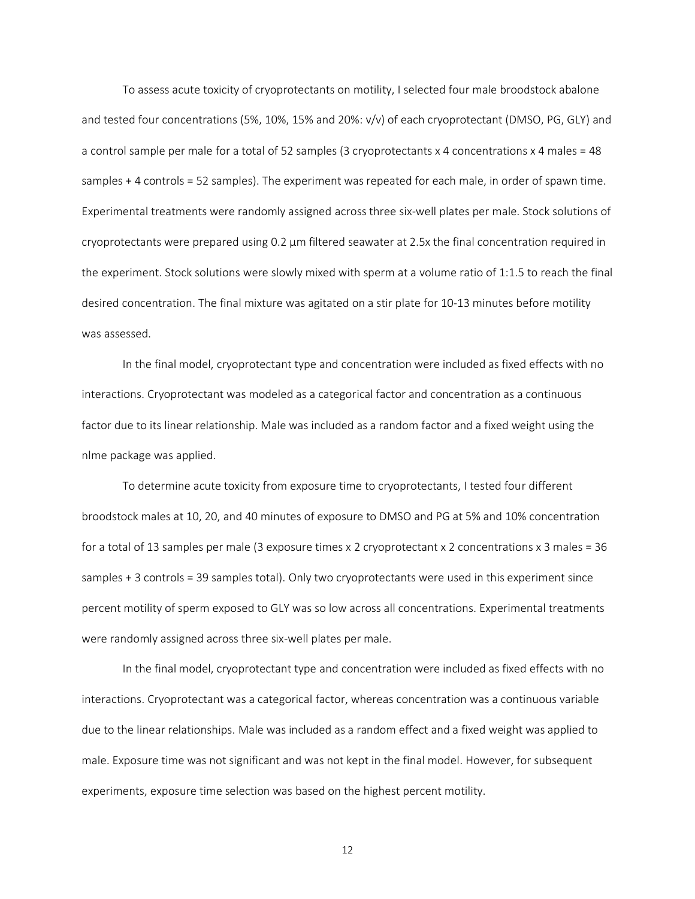To assess acute toxicity of cryoprotectants on motility, I selected four male broodstock abalone and tested four concentrations (5%, 10%, 15% and 20%: v/v) of each cryoprotectant (DMSO, PG, GLY) and a control sample per male for a total of 52 samples (3 cryoprotectants x 4 concentrations x 4 males = 48 samples + 4 controls = 52 samples). The experiment was repeated for each male, in order of spawn time. Experimental treatments were randomly assigned across three six-well plates per male. Stock solutions of cryoprotectants were prepared using 0.2 μm filtered seawater at 2.5x the final concentration required in the experiment. Stock solutions were slowly mixed with sperm at a volume ratio of 1:1.5 to reach the final desired concentration. The final mixture was agitated on a stir plate for 10-13 minutes before motility was assessed.

In the final model, cryoprotectant type and concentration were included as fixed effects with no interactions. Cryoprotectant was modeled as a categorical factor and concentration as a continuous factor due to its linear relationship. Male was included as a random factor and a fixed weight using the nlme package was applied.

To determine acute toxicity from exposure time to cryoprotectants, I tested four different broodstock males at 10, 20, and 40 minutes of exposure to DMSO and PG at 5% and 10% concentration for a total of 13 samples per male (3 exposure times x 2 cryoprotectant x 2 concentrations x 3 males = 36 samples + 3 controls = 39 samples total). Only two cryoprotectants were used in this experiment since percent motility of sperm exposed to GLY was so low across all concentrations. Experimental treatments were randomly assigned across three six-well plates per male.

In the final model, cryoprotectant type and concentration were included as fixed effects with no interactions. Cryoprotectant was a categorical factor, whereas concentration was a continuous variable due to the linear relationships. Male was included as a random effect and a fixed weight was applied to male. Exposure time was not significant and was not kept in the final model. However, for subsequent experiments, exposure time selection was based on the highest percent motility.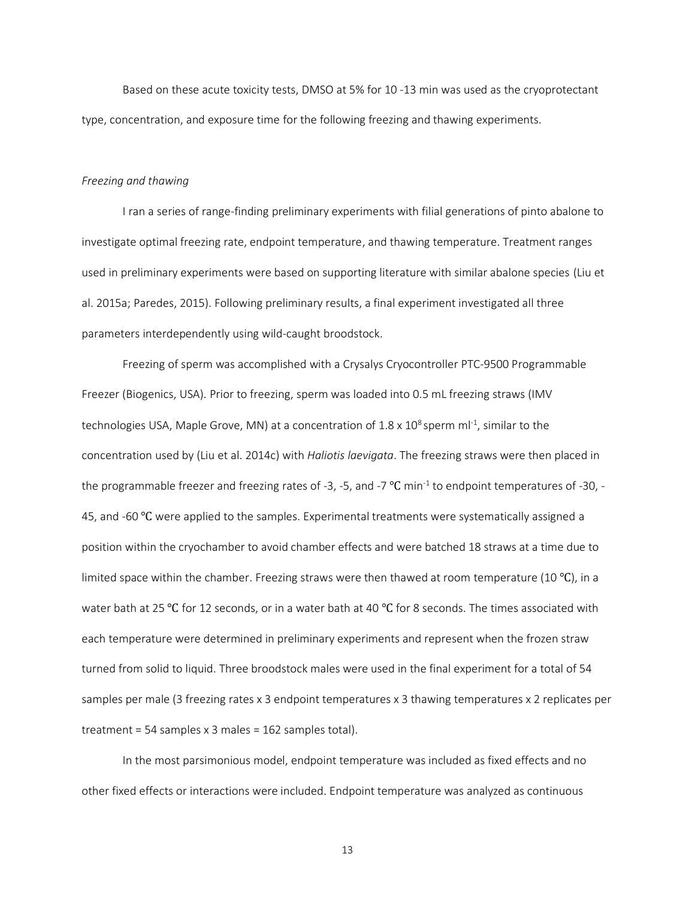Based on these acute toxicity tests, DMSO at 5% for 10 -13 min was used as the cryoprotectant type, concentration, and exposure time for the following freezing and thawing experiments.

#### *Freezing and thawing*

I ran a series of range-finding preliminary experiments with filial generations of pinto abalone to investigate optimal freezing rate, endpoint temperature, and thawing temperature. Treatment ranges used in preliminary experiments were based on supporting literature with similar abalone species (Liu et al. 2015a; Paredes, 2015). Following preliminary results, a final experiment investigated all three parameters interdependently using wild-caught broodstock.

Freezing of sperm was accomplished with a Crysalys Cryocontroller PTC-9500 Programmable Freezer (Biogenics, USA). Prior to freezing, sperm was loaded into 0.5 mL freezing straws (IMV technologies USA, Maple Grove, MN) at a concentration of 1.8 x 10<sup>8</sup> sperm ml<sup>-1</sup>, similar to the concentration used by (Liu et al. 2014c) with *Haliotis laevigata*. The freezing straws were then placed in the programmable freezer and freezing rates of -3, -5, and -7 °C min<sup>-1</sup> to endpoint temperatures of -30, -45, and -60 ℃ were applied to the samples. Experimental treatments were systematically assigned a position within the cryochamber to avoid chamber effects and were batched 18 straws at a time due to limited space within the chamber. Freezing straws were then thawed at room temperature (10 °C), in a water bath at 25 ℃ for 12 seconds, or in a water bath at 40 ℃ for 8 seconds. The times associated with each temperature were determined in preliminary experiments and represent when the frozen straw turned from solid to liquid. Three broodstock males were used in the final experiment for a total of 54 samples per male (3 freezing rates x 3 endpoint temperatures x 3 thawing temperatures x 2 replicates per treatment = 54 samples x 3 males = 162 samples total).

In the most parsimonious model, endpoint temperature was included as fixed effects and no other fixed effects or interactions were included. Endpoint temperature was analyzed as continuous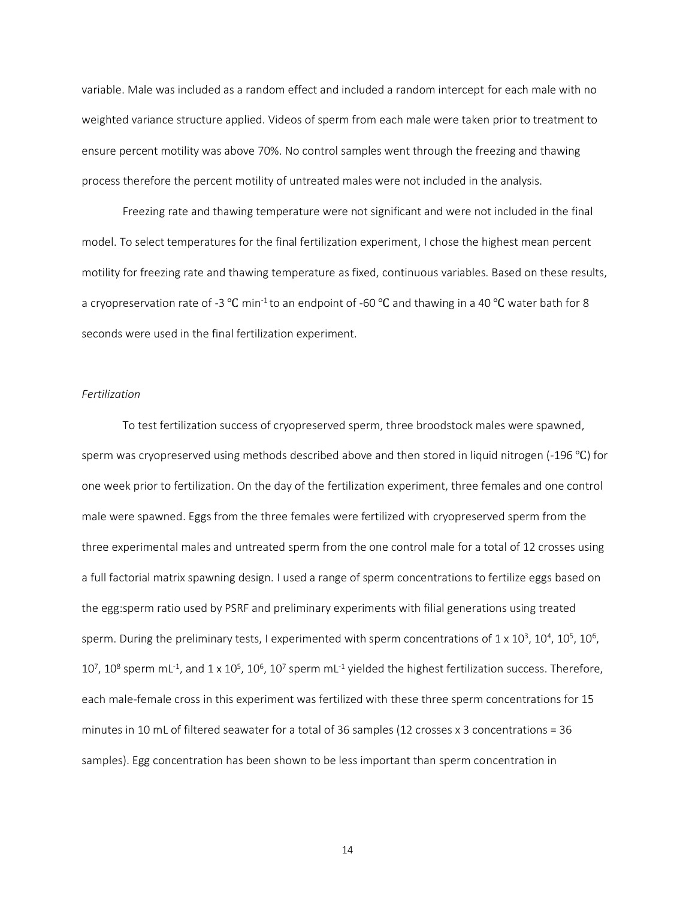variable. Male was included as a random effect and included a random intercept for each male with no weighted variance structure applied. Videos of sperm from each male were taken prior to treatment to ensure percent motility was above 70%. No control samples went through the freezing and thawing process therefore the percent motility of untreated males were not included in the analysis.

Freezing rate and thawing temperature were not significant and were not included in the final model. To select temperatures for the final fertilization experiment, I chose the highest mean percent motility for freezing rate and thawing temperature as fixed, continuous variables. Based on these results, a cryopreservation rate of -3 ℃ min-1 to an endpoint of -60 ℃ and thawing in a 40 ℃ water bath for 8 seconds were used in the final fertilization experiment.

# *Fertilization*

To test fertilization success of cryopreserved sperm, three broodstock males were spawned, sperm was cryopreserved using methods described above and then stored in liquid nitrogen (-196 ℃) for one week prior to fertilization. On the day of the fertilization experiment, three females and one control male were spawned. Eggs from the three females were fertilized with cryopreserved sperm from the three experimental males and untreated sperm from the one control male for a total of 12 crosses using a full factorial matrix spawning design. I used a range of sperm concentrations to fertilize eggs based on the egg:sperm ratio used by PSRF and preliminary experiments with filial generations using treated sperm. During the preliminary tests, I experimented with sperm concentrations of  $1 \times 10^3$ ,  $10^4$ ,  $10^5$ ,  $10^6$ , 10<sup>7</sup>, 10<sup>8</sup> sperm mL<sup>-1</sup>, and 1 x 10<sup>5</sup>, 10<sup>6</sup>, 10<sup>7</sup> sperm mL<sup>-1</sup> yielded the highest fertilization success. Therefore, each male-female cross in this experiment was fertilized with these three sperm concentrations for 15 minutes in 10 mL of filtered seawater for a total of 36 samples (12 crosses x 3 concentrations = 36 samples). Egg concentration has been shown to be less important than sperm concentration in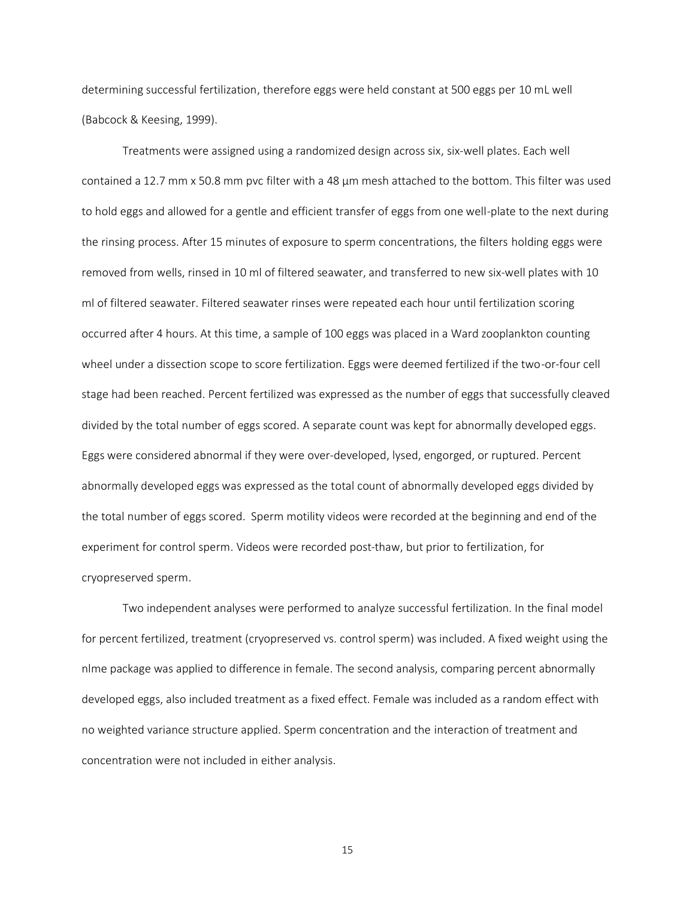determining successful fertilization, therefore eggs were held constant at 500 eggs per 10 mL well (Babcock & Keesing, 1999).

Treatments were assigned using a randomized design across six, six-well plates. Each well contained a 12.7 mm  $x$  50.8 mm pvc filter with a 48  $\mu$ m mesh attached to the bottom. This filter was used to hold eggs and allowed for a gentle and efficient transfer of eggs from one well-plate to the next during the rinsing process. After 15 minutes of exposure to sperm concentrations, the filters holding eggs were removed from wells, rinsed in 10 ml of filtered seawater, and transferred to new six-well plates with 10 ml of filtered seawater. Filtered seawater rinses were repeated each hour until fertilization scoring occurred after 4 hours. At this time, a sample of 100 eggs was placed in a Ward zooplankton counting wheel under a dissection scope to score fertilization. Eggs were deemed fertilized if the two-or-four cell stage had been reached. Percent fertilized was expressed as the number of eggs that successfully cleaved divided by the total number of eggs scored. A separate count was kept for abnormally developed eggs. Eggs were considered abnormal if they were over-developed, lysed, engorged, or ruptured. Percent abnormally developed eggs was expressed as the total count of abnormally developed eggs divided by the total number of eggs scored. Sperm motility videos were recorded at the beginning and end of the experiment for control sperm. Videos were recorded post-thaw, but prior to fertilization, for cryopreserved sperm.

Two independent analyses were performed to analyze successful fertilization. In the final model for percent fertilized, treatment (cryopreserved vs. control sperm) was included. A fixed weight using the nlme package was applied to difference in female. The second analysis, comparing percent abnormally developed eggs, also included treatment as a fixed effect. Female was included as a random effect with no weighted variance structure applied. Sperm concentration and the interaction of treatment and concentration were not included in either analysis.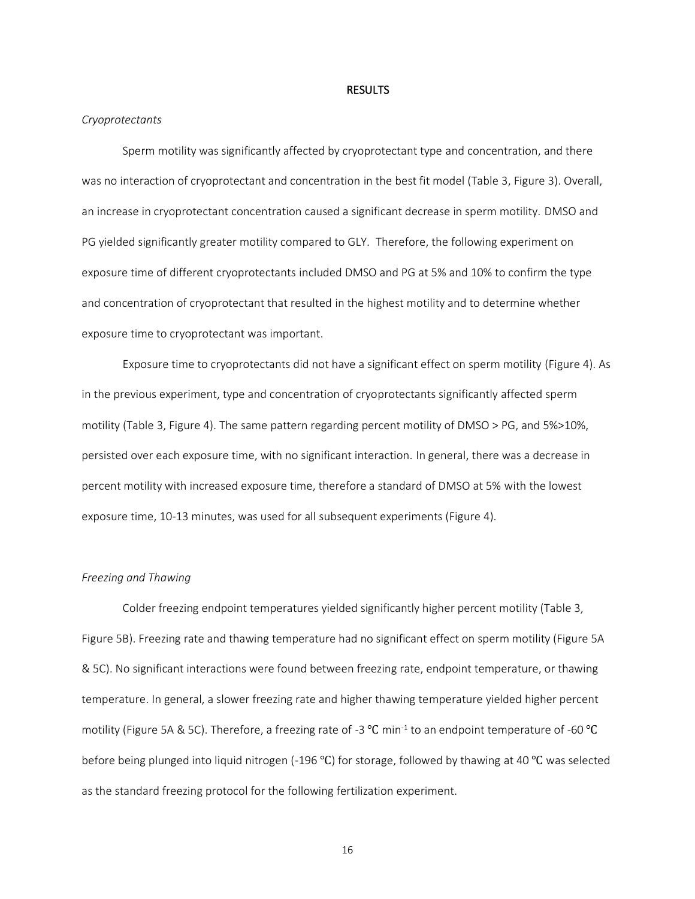#### RESULTS

#### *Cryoprotectants*

Sperm motility was significantly affected by cryoprotectant type and concentration, and there was no interaction of cryoprotectant and concentration in the best fit model (Table 3, Figure 3). Overall, an increase in cryoprotectant concentration caused a significant decrease in sperm motility. DMSO and PG yielded significantly greater motility compared to GLY. Therefore, the following experiment on exposure time of different cryoprotectants included DMSO and PG at 5% and 10% to confirm the type and concentration of cryoprotectant that resulted in the highest motility and to determine whether exposure time to cryoprotectant was important.

Exposure time to cryoprotectants did not have a significant effect on sperm motility (Figure 4). As in the previous experiment, type and concentration of cryoprotectants significantly affected sperm motility (Table 3, Figure 4). The same pattern regarding percent motility of DMSO > PG, and 5%>10%, persisted over each exposure time, with no significant interaction. In general, there was a decrease in percent motility with increased exposure time, therefore a standard of DMSO at 5% with the lowest exposure time, 10-13 minutes, was used for all subsequent experiments (Figure 4).

## *Freezing and Thawing*

Colder freezing endpoint temperatures yielded significantly higher percent motility (Table 3, Figure 5B). Freezing rate and thawing temperature had no significant effect on sperm motility (Figure 5A & 5C). No significant interactions were found between freezing rate, endpoint temperature, or thawing temperature. In general, a slower freezing rate and higher thawing temperature yielded higher percent motility (Figure 5A & 5C). Therefore, a freezing rate of -3 °C min<sup>-1</sup> to an endpoint temperature of -60 °C before being plunged into liquid nitrogen (-196 ℃) for storage, followed by thawing at 40 ℃ was selected as the standard freezing protocol for the following fertilization experiment.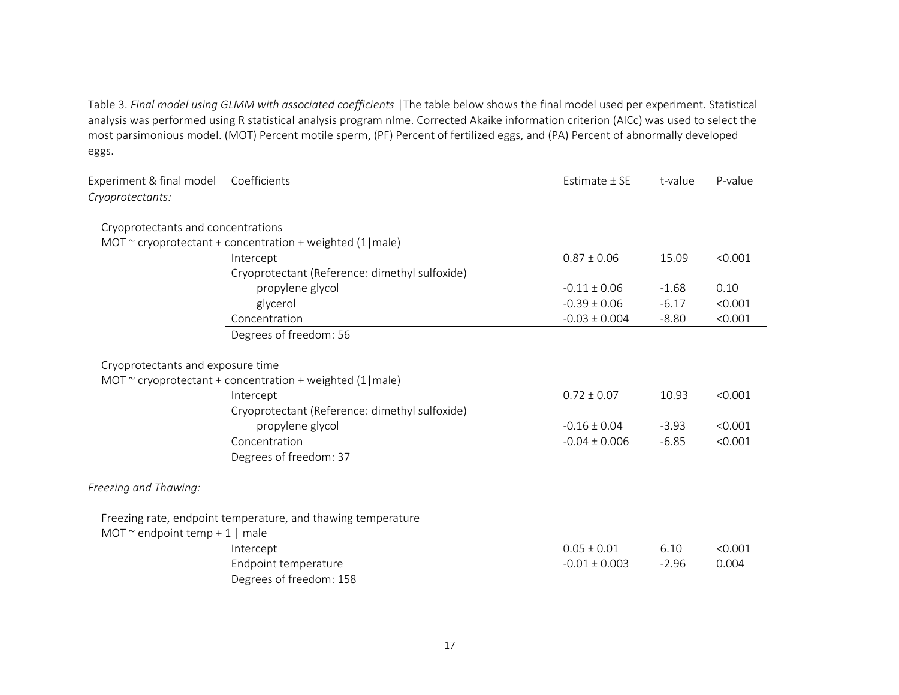Table 3. *Final model using GLMM with associated coefficients* |The table below shows the final model used per experiment. Statistical analysis was performed using R statistical analysis program nlme. Corrected Akaike information criterion (AICc) was used to select the most parsimonious model. (MOT) Percent motile sperm, (PF) Percent of fertilized eggs, and (PA) Percent of abnormally developed eggs.

| Experiment & final model            | Coefficients                                                    | Estimate ± SE     | t-value | P-value |
|-------------------------------------|-----------------------------------------------------------------|-------------------|---------|---------|
| Cryoprotectants:                    |                                                                 |                   |         |         |
|                                     |                                                                 |                   |         |         |
| Cryoprotectants and concentrations  |                                                                 |                   |         |         |
|                                     | MOT $\sim$ cryoprotectant + concentration + weighted (1   male) |                   |         |         |
|                                     | Intercept                                                       | $0.87 \pm 0.06$   | 15.09   | < 0.001 |
|                                     | Cryoprotectant (Reference: dimethyl sulfoxide)                  |                   |         |         |
|                                     | propylene glycol                                                | $-0.11 \pm 0.06$  | $-1.68$ | 0.10    |
|                                     | glycerol                                                        | $-0.39 \pm 0.06$  | $-6.17$ | < 0.001 |
|                                     | Concentration                                                   | $-0.03 \pm 0.004$ | $-8.80$ | < 0.001 |
|                                     | Degrees of freedom: 56                                          |                   |         |         |
|                                     |                                                                 |                   |         |         |
| Cryoprotectants and exposure time   |                                                                 |                   |         |         |
|                                     | MOT $\sim$ cryoprotectant + concentration + weighted (1   male) |                   |         |         |
|                                     | Intercept                                                       | $0.72 \pm 0.07$   | 10.93   | < 0.001 |
|                                     | Cryoprotectant (Reference: dimethyl sulfoxide)                  |                   |         |         |
|                                     | propylene glycol                                                | $-0.16 \pm 0.04$  | $-3.93$ | < 0.001 |
|                                     | Concentration                                                   | $-0.04 \pm 0.006$ | $-6.85$ | < 0.001 |
|                                     | Degrees of freedom: 37                                          |                   |         |         |
|                                     |                                                                 |                   |         |         |
| Freezing and Thawing:               |                                                                 |                   |         |         |
|                                     |                                                                 |                   |         |         |
|                                     | Freezing rate, endpoint temperature, and thawing temperature    |                   |         |         |
| MOT $\sim$ endpoint temp + 1   male |                                                                 |                   |         |         |
|                                     | Intercept                                                       | $0.05 \pm 0.01$   | 6.10    | < 0.001 |
|                                     | Endpoint temperature                                            | $-0.01 \pm 0.003$ | $-2.96$ | 0.004   |
|                                     |                                                                 |                   |         |         |

Degrees of freedom: 158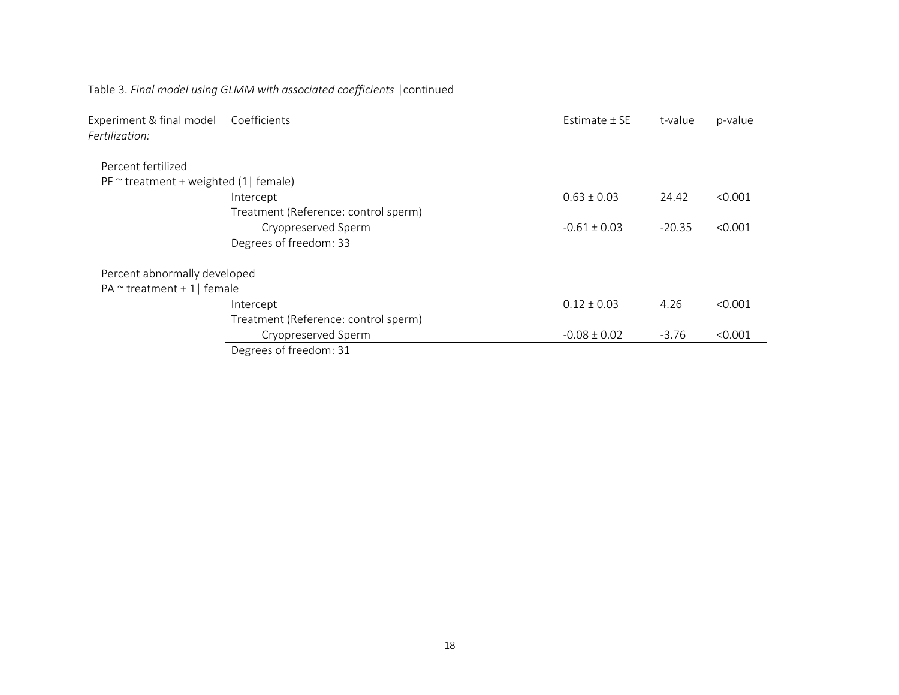| Experiment & final model                   | Coefficients                         | Estimate $\pm$ SE | t-value  | p-value |
|--------------------------------------------|--------------------------------------|-------------------|----------|---------|
| Fertilization:                             |                                      |                   |          |         |
| Percent fertilized                         |                                      |                   |          |         |
| PF $\sim$ treatment + weighted (1) female) |                                      |                   |          |         |
|                                            | Intercept                            | $0.63 \pm 0.03$   | 24.42    | < 0.001 |
|                                            | Treatment (Reference: control sperm) |                   |          |         |
|                                            | Cryopreserved Sperm                  | $-0.61 \pm 0.03$  | $-20.35$ | < 0.001 |
|                                            | Degrees of freedom: 33               |                   |          |         |
| Percent abnormally developed               |                                      |                   |          |         |
| PA $\sim$ treatment + 1   female           |                                      |                   |          |         |
|                                            | Intercept                            | $0.12 \pm 0.03$   | 4.26     | < 0.001 |
|                                            | Treatment (Reference: control sperm) |                   |          |         |
|                                            | Cryopreserved Sperm                  | $-0.08 \pm 0.02$  | $-3.76$  | < 0.001 |
|                                            | Degrees of freedom: 31               |                   |          |         |

# Table 3. *Final model using GLMM with associated coefficients* |continued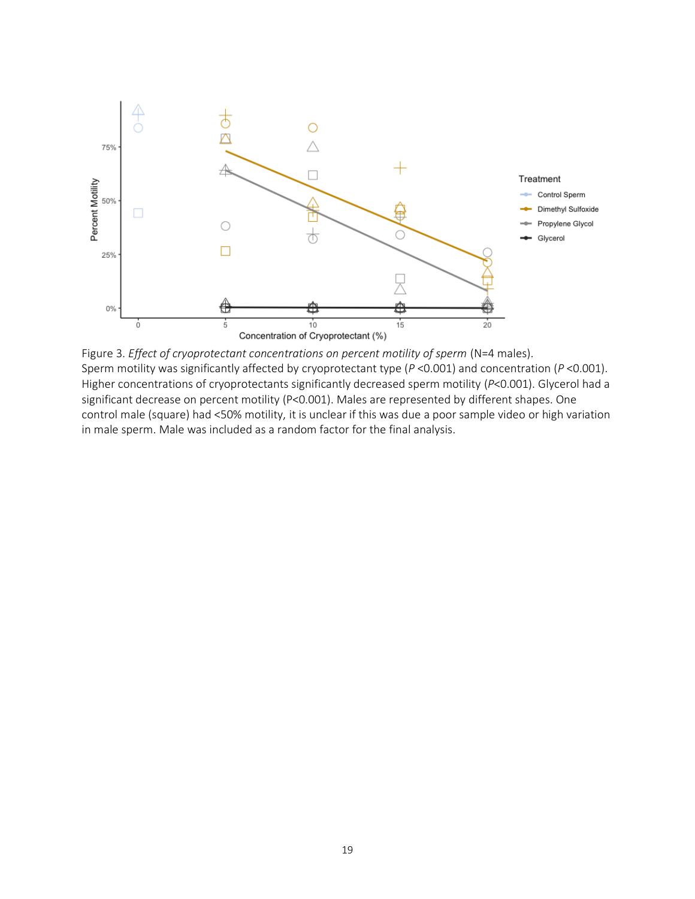

Figure 3. *Effect of cryoprotectant concentrations on percent motility of sperm* (N=4 males). Sperm motility was significantly affected by cryoprotectant type (*P* <0.001) and concentration (*P* <0.001). Higher concentrations of cryoprotectants significantly decreased sperm motility (*P*<0.001). Glycerol had a significant decrease on percent motility (P<0.001). Males are represented by different shapes. One control male (square) had <50% motility, it is unclear if this was due a poor sample video or high variation in male sperm. Male was included as a random factor for the final analysis.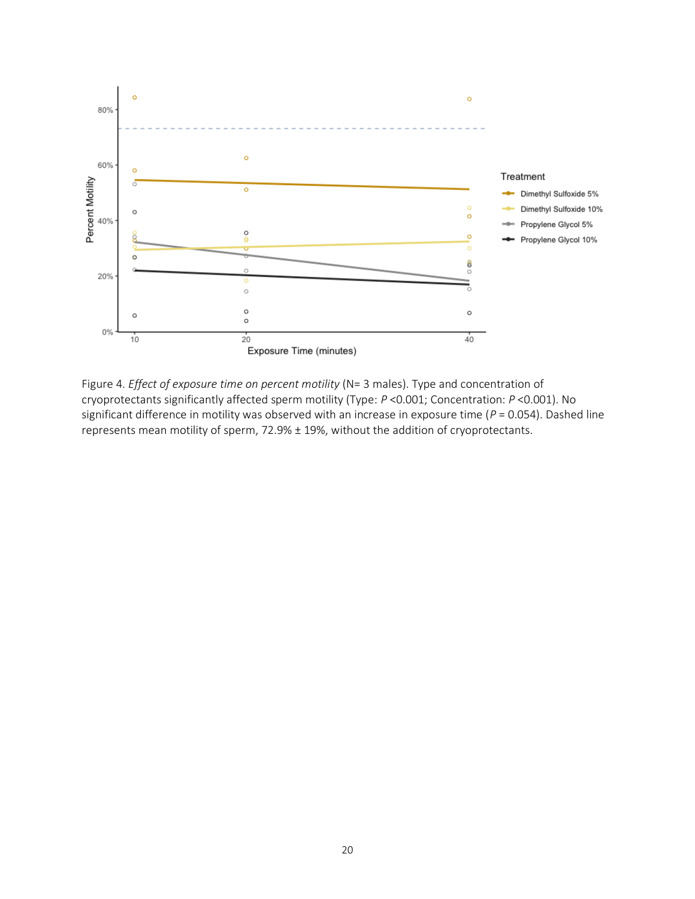

Figure 4. *Effect of exposure time on percent motility* (N= 3 males). Type and concentration of cryoprotectants significantly affected sperm motility (Type: *P* <0.001; Concentration: *P* <0.001). No significant difference in motility was observed with an increase in exposure time (*P* = 0.054). Dashed line represents mean motility of sperm, 72.9% ± 19%, without the addition of cryoprotectants.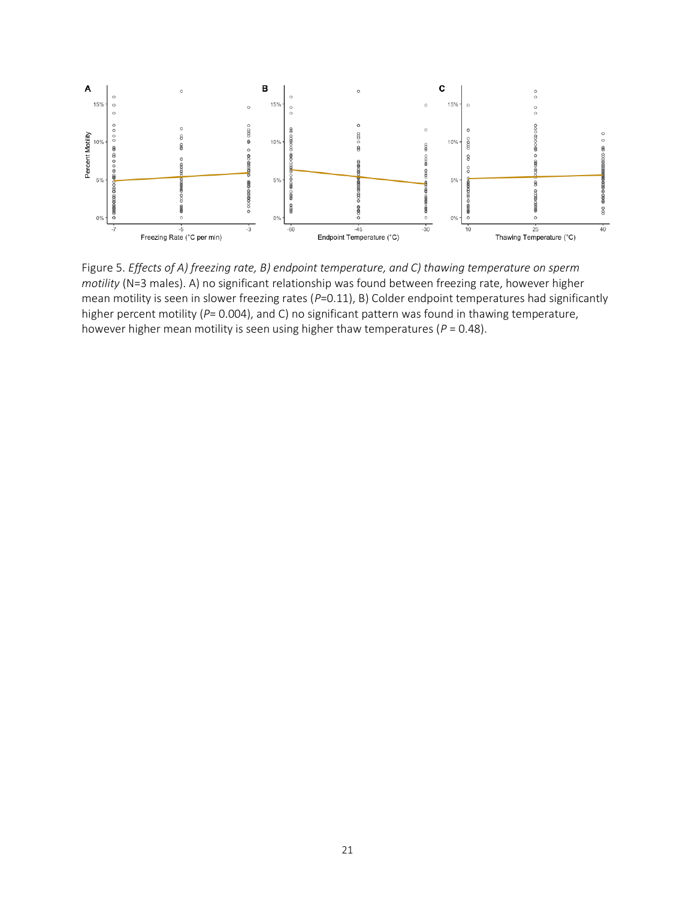

Figure 5. *Effects of A) freezing rate, B) endpoint temperature, and C) thawing temperature on sperm motility* (N=3 males). A) no significant relationship was found between freezing rate, however higher mean motility is seen in slower freezing rates (P=0.11), B) Colder endpoint temperatures had significantly higher percent motility ( $P= 0.004$ ), and C) no significant pattern was found in thawing temperature, however higher mean motility is seen using higher thaw temperatures (*P* = 0.48).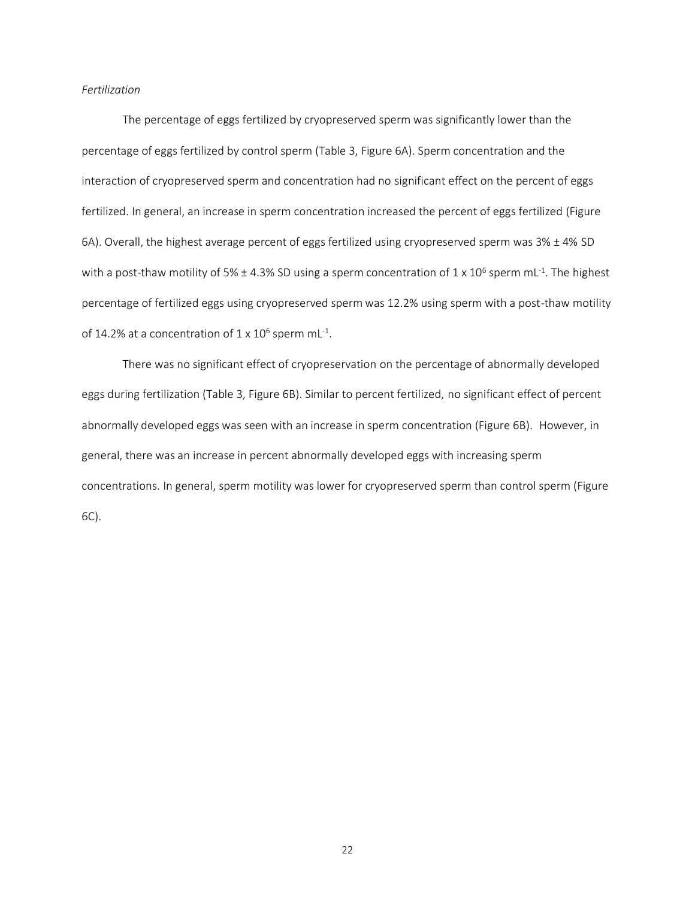#### *Fertilization*

The percentage of eggs fertilized by cryopreserved sperm was significantly lower than the percentage of eggs fertilized by control sperm (Table 3, Figure 6A). Sperm concentration and the interaction of cryopreserved sperm and concentration had no significant effect on the percent of eggs fertilized. In general, an increase in sperm concentration increased the percent of eggs fertilized (Figure 6A). Overall, the highest average percent of eggs fertilized using cryopreserved sperm was  $3\% \pm 4\%$  SD with a post-thaw motility of 5%  $\pm$  4.3% SD using a sperm concentration of 1 x 10<sup>6</sup> sperm mL<sup>-1</sup>. The highest percentage of fertilized eggs using cryopreserved sperm was 12.2% using sperm with a post-thaw motility of 14.2% at a concentration of  $1 \times 10^6$  sperm mL<sup>-1</sup>.

There was no significant effect of cryopreservation on the percentage of abnormally developed eggs during fertilization (Table 3, Figure 6B). Similar to percent fertilized, no significant effect of percent abnormally developed eggs was seen with an increase in sperm concentration (Figure 6B). However, in general, there was an increase in percent abnormally developed eggs with increasing sperm concentrations. In general, sperm motility was lower for cryopreserved sperm than control sperm (Figure 6C).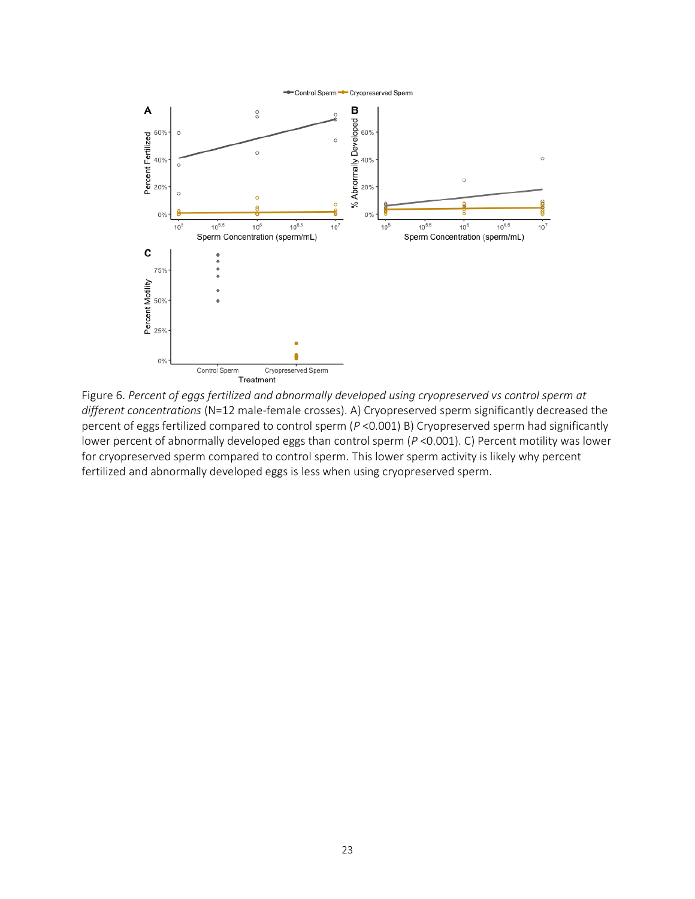

Figure 6. *Percent of eggs fertilized and abnormally developed using cryopreserved vs control sperm at different concentrations* (N=12 male-female crosses). A) Cryopreserved sperm significantly decreased the percent of eggs fertilized compared to control sperm (*P* <0.001) B) Cryopreserved sperm had significantly lower percent of abnormally developed eggs than control sperm (*P* <0.001). C) Percent motility was lower for cryopreserved sperm compared to control sperm. This lower sperm activity is likely why percent fertilized and abnormally developed eggs is less when using cryopreserved sperm.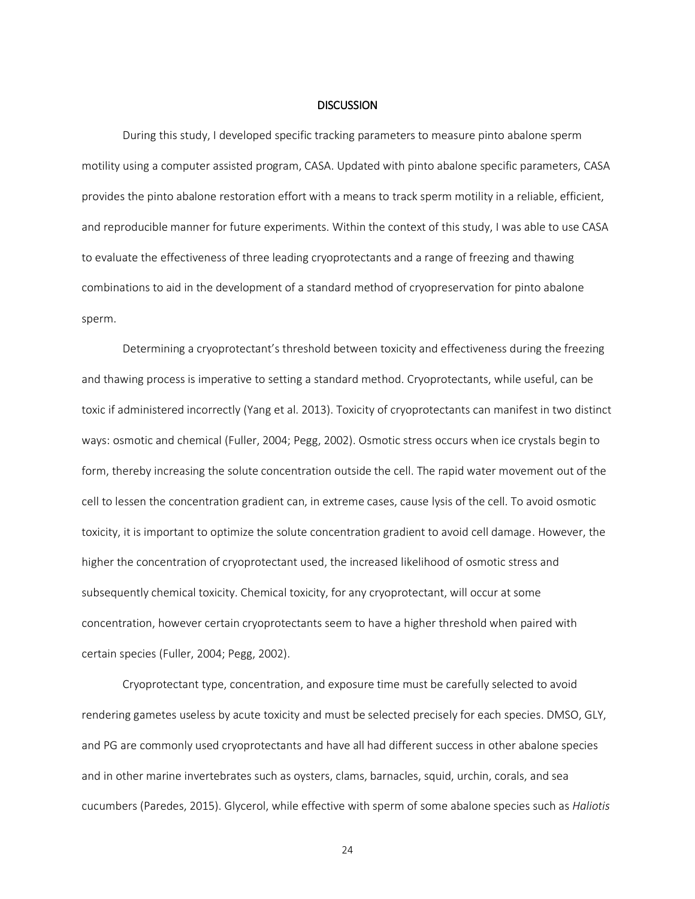#### **DISCUSSION**

During this study, I developed specific tracking parameters to measure pinto abalone sperm motility using a computer assisted program, CASA. Updated with pinto abalone specific parameters, CASA provides the pinto abalone restoration effort with a means to track sperm motility in a reliable, efficient, and reproducible manner for future experiments. Within the context of this study, I was able to use CASA to evaluate the effectiveness of three leading cryoprotectants and a range of freezing and thawing combinations to aid in the development of a standard method of cryopreservation for pinto abalone sperm.

Determining a cryoprotectant's threshold between toxicity and effectiveness during the freezing and thawing process is imperative to setting a standard method. Cryoprotectants, while useful, can be toxic if administered incorrectly (Yang et al. 2013). Toxicity of cryoprotectants can manifest in two distinct ways: osmotic and chemical (Fuller, 2004; Pegg, 2002). Osmotic stress occurs when ice crystals begin to form, thereby increasing the solute concentration outside the cell. The rapid water movement out of the cell to lessen the concentration gradient can, in extreme cases, cause lysis of the cell. To avoid osmotic toxicity, it is important to optimize the solute concentration gradient to avoid cell damage. However, the higher the concentration of cryoprotectant used, the increased likelihood of osmotic stress and subsequently chemical toxicity. Chemical toxicity, for any cryoprotectant, will occur at some concentration, however certain cryoprotectants seem to have a higher threshold when paired with certain species (Fuller, 2004; Pegg, 2002).

Cryoprotectant type, concentration, and exposure time must be carefully selected to avoid rendering gametes useless by acute toxicity and must be selected precisely for each species. DMSO, GLY, and PG are commonly used cryoprotectants and have all had different success in other abalone species and in other marine invertebrates such as oysters, clams, barnacles, squid, urchin, corals, and sea cucumbers (Paredes, 2015). Glycerol, while effective with sperm of some abalone species such as *Haliotis*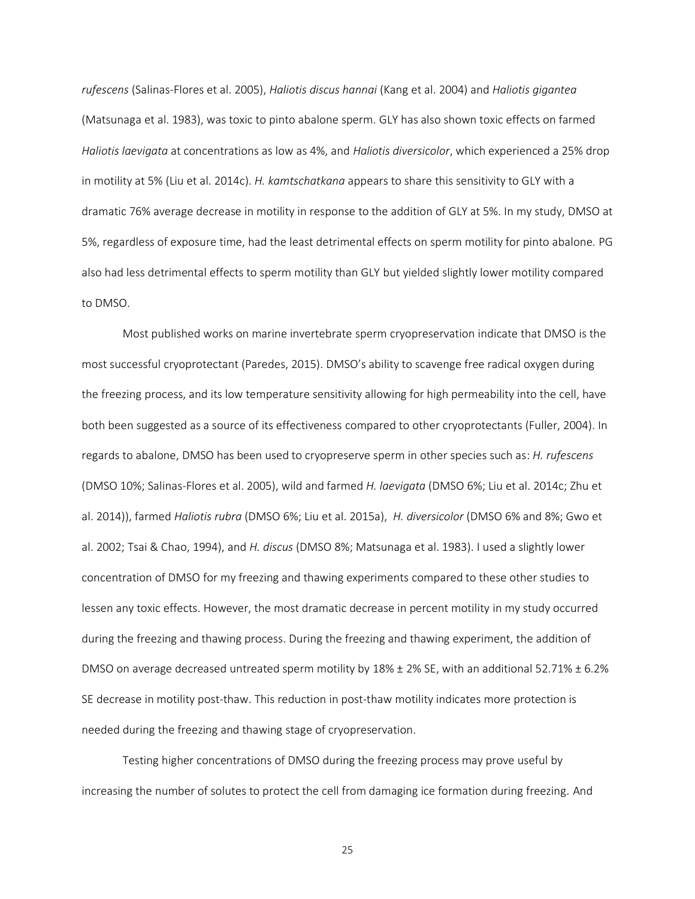*rufescens* (Salinas-Flores et al. 2005), *Haliotis discus hannai* (Kang et al. 2004) and *Haliotis gigantea* (Matsunaga et al. 1983), was toxic to pinto abalone sperm. GLY has also shown toxic effects on farmed *Haliotis laevigata* at concentrations as low as 4%, and *Haliotis diversicolor*, which experienced a 25% drop in motility at 5% (Liu et al. 2014c). *H. kamtschatkana* appears to share this sensitivity to GLY with a dramatic 76% average decrease in motility in response to the addition of GLY at 5%. In my study, DMSO at 5%, regardless of exposure time, had the least detrimental effects on sperm motility for pinto abalone. PG also had less detrimental effects to sperm motility than GLY but yielded slightly lower motility compared to DMSO.

Most published works on marine invertebrate sperm cryopreservation indicate that DMSO is the most successful cryoprotectant (Paredes, 2015). DMSO's ability to scavenge free radical oxygen during the freezing process, and its low temperature sensitivity allowing for high permeability into the cell, have both been suggested as a source of its effectiveness compared to other cryoprotectants (Fuller, 2004). In regards to abalone, DMSO has been used to cryopreserve sperm in other species such as: *H. rufescens* (DMSO 10%; Salinas-Flores et al. 2005), wild and farmed *H. laevigata* (DMSO 6%; Liu et al. 2014c; Zhu et al. 2014)), farmed *Haliotis rubra* (DMSO 6%; Liu et al. 2015a), *H. diversicolor* (DMSO 6% and 8%; Gwo et al. 2002; Tsai & Chao, 1994), and *H. discus* (DMSO 8%; Matsunaga et al. 1983). I used a slightly lower concentration of DMSO for my freezing and thawing experiments compared to these other studies to lessen any toxic effects. However, the most dramatic decrease in percent motility in my study occurred during the freezing and thawing process. During the freezing and thawing experiment, the addition of DMSO on average decreased untreated sperm motility by 18% ± 2% SE, with an additional 52.71% ± 6.2% SE decrease in motility post-thaw. This reduction in post-thaw motility indicates more protection is needed during the freezing and thawing stage of cryopreservation.

Testing higher concentrations of DMSO during the freezing process may prove useful by increasing the number of solutes to protect the cell from damaging ice formation during freezing. And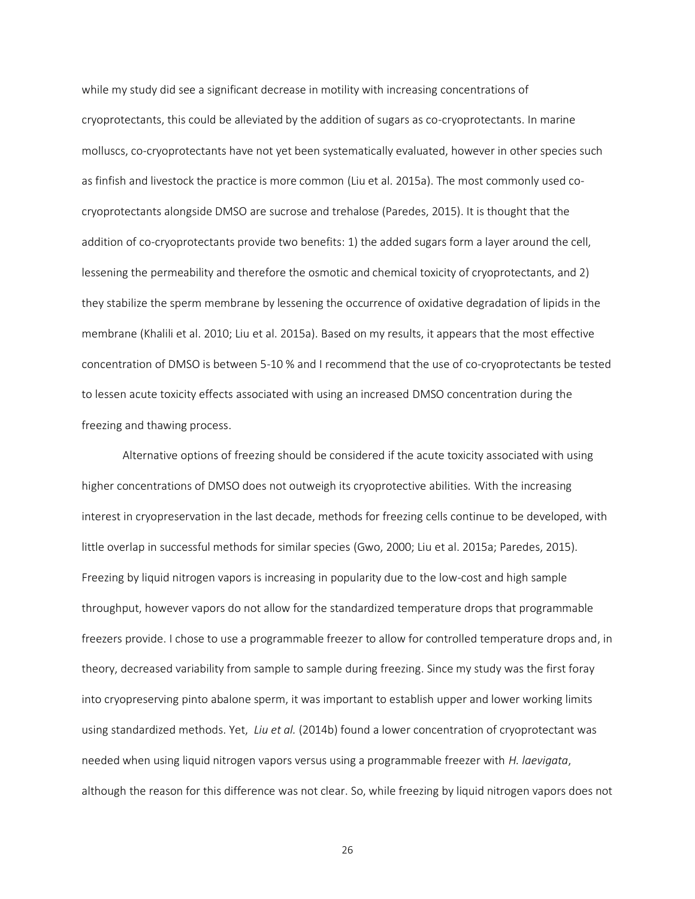while my study did see a significant decrease in motility with increasing concentrations of cryoprotectants, this could be alleviated by the addition of sugars as co-cryoprotectants. In marine molluscs, co-cryoprotectants have not yet been systematically evaluated, however in other species such as finfish and livestock the practice is more common (Liu et al. 2015a). The most commonly used cocryoprotectants alongside DMSO are sucrose and trehalose (Paredes, 2015). It is thought that the addition of co-cryoprotectants provide two benefits: 1) the added sugars form a layer around the cell, lessening the permeability and therefore the osmotic and chemical toxicity of cryoprotectants, and 2) they stabilize the sperm membrane by lessening the occurrence of oxidative degradation of lipids in the membrane (Khalili et al. 2010; Liu et al. 2015a). Based on my results, it appears that the most effective concentration of DMSO is between 5-10 % and I recommend that the use of co-cryoprotectants be tested to lessen acute toxicity effects associated with using an increased DMSO concentration during the freezing and thawing process.

Alternative options of freezing should be considered if the acute toxicity associated with using higher concentrations of DMSO does not outweigh its cryoprotective abilities. With the increasing interest in cryopreservation in the last decade, methods for freezing cells continue to be developed, with little overlap in successful methods for similar species (Gwo, 2000; Liu et al. 2015a; Paredes, 2015). Freezing by liquid nitrogen vapors is increasing in popularity due to the low-cost and high sample throughput, however vapors do not allow for the standardized temperature drops that programmable freezers provide. I chose to use a programmable freezer to allow for controlled temperature drops and, in theory, decreased variability from sample to sample during freezing. Since my study was the first foray into cryopreserving pinto abalone sperm, it was important to establish upper and lower working limits using standardized methods. Yet, *Liu et al.* (2014b) found a lower concentration of cryoprotectant was needed when using liquid nitrogen vapors versus using a programmable freezer with *H. laevigata*, although the reason for this difference was not clear. So, while freezing by liquid nitrogen vapors does not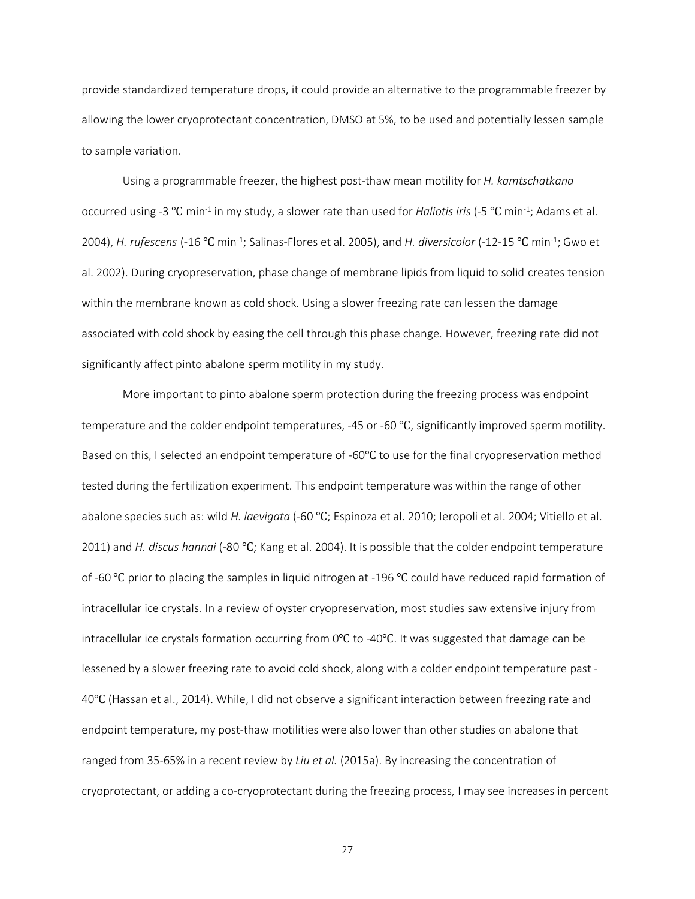provide standardized temperature drops, it could provide an alternative to the programmable freezer by allowing the lower cryoprotectant concentration, DMSO at 5%, to be used and potentially lessen sample to sample variation.

Using a programmable freezer, the highest post-thaw mean motility for *H. kamtschatkana* occurred using -3 ℃ min-1 in my study, a slower rate than used for *Haliotis iris* (-5 ℃ min-1 ; Adams et al. 2004), *H. rufescens* (-16 ℃ min-1 ; Salinas-Flores et al. 2005), and *H. diversicolor* (-12-15 ℃ min-1 ; Gwo et al. 2002). During cryopreservation, phase change of membrane lipids from liquid to solid creates tension within the membrane known as cold shock. Using a slower freezing rate can lessen the damage associated with cold shock by easing the cell through this phase change. However, freezing rate did not significantly affect pinto abalone sperm motility in my study.

More important to pinto abalone sperm protection during the freezing process was endpoint temperature and the colder endpoint temperatures, -45 or -60 °C, significantly improved sperm motility. Based on this, I selected an endpoint temperature of -60℃ to use for the final cryopreservation method tested during the fertilization experiment. This endpoint temperature was within the range of other abalone species such as: wild *H. laevigata* (-60 ℃; Espinoza et al. 2010; Ieropoli et al. 2004; Vitiello et al. 2011) and *H. discus hannai* (-80 ℃; Kang et al. 2004). It is possible that the colder endpoint temperature of -60 ℃ prior to placing the samples in liquid nitrogen at -196 ℃ could have reduced rapid formation of intracellular ice crystals. In a review of oyster cryopreservation, most studies saw extensive injury from intracellular ice crystals formation occurring from 0℃ to -40℃. It was suggested that damage can be lessened by a slower freezing rate to avoid cold shock, along with a colder endpoint temperature past - 40℃ (Hassan et al., 2014). While, I did not observe a significant interaction between freezing rate and endpoint temperature, my post-thaw motilities were also lower than other studies on abalone that ranged from 35-65% in a recent review by *Liu et al.* (2015a). By increasing the concentration of cryoprotectant, or adding a co-cryoprotectant during the freezing process, I may see increases in percent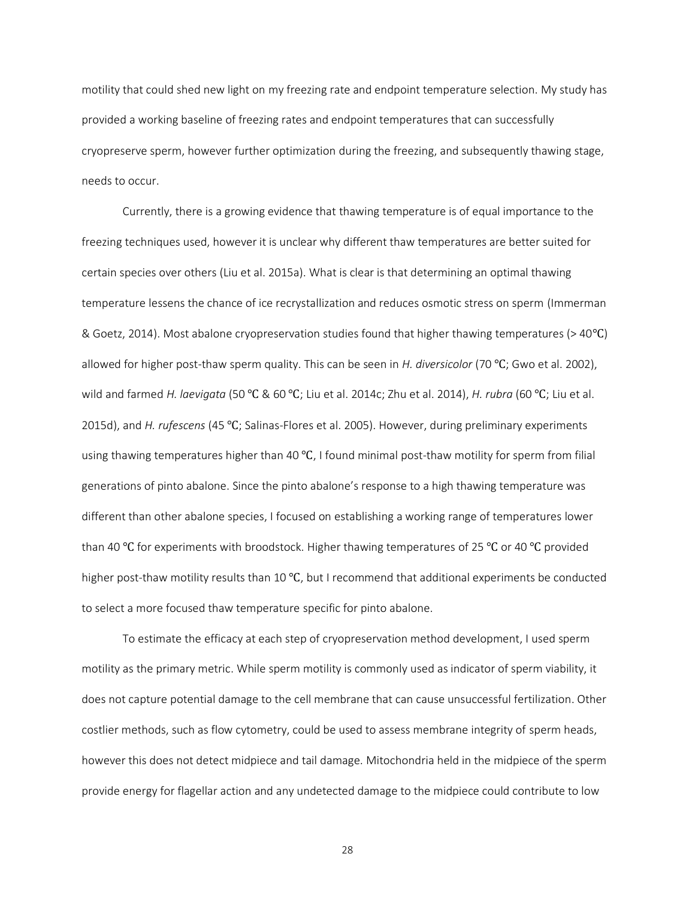motility that could shed new light on my freezing rate and endpoint temperature selection. My study has provided a working baseline of freezing rates and endpoint temperatures that can successfully cryopreserve sperm, however further optimization during the freezing, and subsequently thawing stage, needs to occur.

Currently, there is a growing evidence that thawing temperature is of equal importance to the freezing techniques used, however it is unclear why different thaw temperatures are better suited for certain species over others (Liu et al. 2015a). What is clear is that determining an optimal thawing temperature lessens the chance of ice recrystallization and reduces osmotic stress on sperm (Immerman & Goetz, 2014). Most abalone cryopreservation studies found that higher thawing temperatures (> 40℃) allowed for higher post-thaw sperm quality. This can be seen in *H. diversicolor* (70 ℃; Gwo et al. 2002), wild and farmed *H. laevigata* (50 ℃ & 60 ℃; Liu et al. 2014c; Zhu et al. 2014), *H. rubra* (60 ℃; Liu et al. 2015d), and *H. rufescens* (45 ℃; Salinas-Flores et al. 2005). However, during preliminary experiments using thawing temperatures higher than 40 °C, I found minimal post-thaw motility for sperm from filial generations of pinto abalone. Since the pinto abalone's response to a high thawing temperature was different than other abalone species, I focused on establishing a working range of temperatures lower than 40 ℃ for experiments with broodstock. Higher thawing temperatures of 25 ℃ or 40 ℃ provided higher post-thaw motility results than 10 ℃, but I recommend that additional experiments be conducted to select a more focused thaw temperature specific for pinto abalone.

To estimate the efficacy at each step of cryopreservation method development, I used sperm motility as the primary metric. While sperm motility is commonly used as indicator of sperm viability, it does not capture potential damage to the cell membrane that can cause unsuccessful fertilization. Other costlier methods, such as flow cytometry, could be used to assess membrane integrity of sperm heads, however this does not detect midpiece and tail damage. Mitochondria held in the midpiece of the sperm provide energy for flagellar action and any undetected damage to the midpiece could contribute to low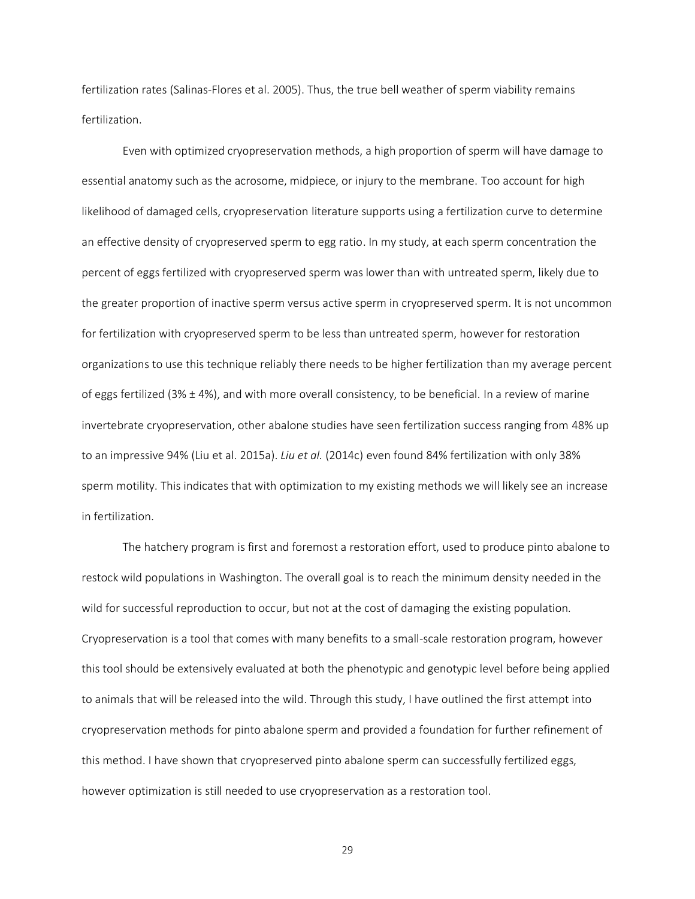fertilization rates (Salinas-Flores et al. 2005). Thus, the true bell weather of sperm viability remains fertilization.

Even with optimized cryopreservation methods, a high proportion of sperm will have damage to essential anatomy such as the acrosome, midpiece, or injury to the membrane. Too account for high likelihood of damaged cells, cryopreservation literature supports using a fertilization curve to determine an effective density of cryopreserved sperm to egg ratio. In my study, at each sperm concentration the percent of eggs fertilized with cryopreserved sperm was lower than with untreated sperm, likely due to the greater proportion of inactive sperm versus active sperm in cryopreserved sperm. It is not uncommon for fertilization with cryopreserved sperm to be less than untreated sperm, however for restoration organizations to use this technique reliably there needs to be higher fertilization than my average percent of eggs fertilized (3%  $\pm$  4%), and with more overall consistency, to be beneficial. In a review of marine invertebrate cryopreservation, other abalone studies have seen fertilization success ranging from 48% up to an impressive 94% (Liu et al. 2015a). *Liu et al.* (2014c) even found 84% fertilization with only 38% sperm motility. This indicates that with optimization to my existing methods we will likely see an increase in fertilization.

The hatchery program is first and foremost a restoration effort, used to produce pinto abalone to restock wild populations in Washington. The overall goal is to reach the minimum density needed in the wild for successful reproduction to occur, but not at the cost of damaging the existing population. Cryopreservation is a tool that comes with many benefits to a small-scale restoration program, however this tool should be extensively evaluated at both the phenotypic and genotypic level before being applied to animals that will be released into the wild. Through this study, I have outlined the first attempt into cryopreservation methods for pinto abalone sperm and provided a foundation for further refinement of this method. I have shown that cryopreserved pinto abalone sperm can successfully fertilized eggs, however optimization is still needed to use cryopreservation as a restoration tool.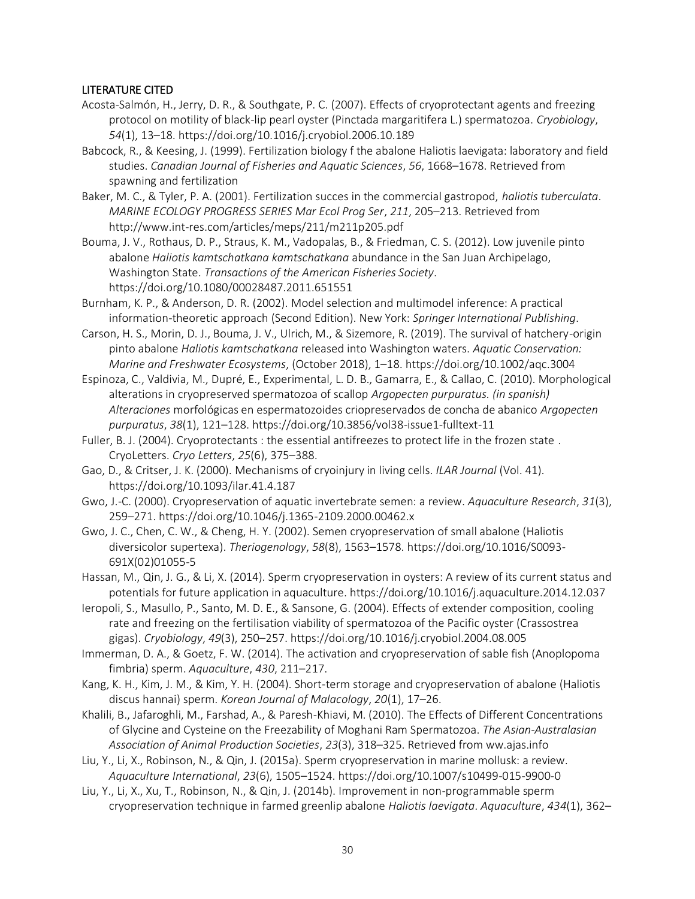# LITERATURE CITED

- Acosta-Salmón, H., Jerry, D. R., & Southgate, P. C. (2007). Effects of cryoprotectant agents and freezing protocol on motility of black-lip pearl oyster (Pinctada margaritifera L.) spermatozoa. *Cryobiology*, *54*(1), 13–18. https://doi.org/10.1016/j.cryobiol.2006.10.189
- Babcock, R., & Keesing, J. (1999). Fertilization biology f the abalone Haliotis laevigata: laboratory and field studies. *Canadian Journal of Fisheries and Aquatic Sciences*, *56*, 1668–1678. Retrieved from spawning and fertilization
- Baker, M. C., & Tyler, P. A. (2001). Fertilization succes in the commercial gastropod, *haliotis tuberculata*. *MARINE ECOLOGY PROGRESS SERIES Mar Ecol Prog Ser*, *211*, 205–213. Retrieved from http://www.int-res.com/articles/meps/211/m211p205.pdf
- Bouma, J. V., Rothaus, D. P., Straus, K. M., Vadopalas, B., & Friedman, C. S. (2012). Low juvenile pinto abalone *Haliotis kamtschatkana kamtschatkana* abundance in the San Juan Archipelago, Washington State. *Transactions of the American Fisheries Society*. https://doi.org/10.1080/00028487.2011.651551
- Burnham, K. P., & Anderson, D. R. (2002). Model selection and multimodel inference: A practical information-theoretic approach (Second Edition). New York: *Springer International Publishing*.
- Carson, H. S., Morin, D. J., Bouma, J. V., Ulrich, M., & Sizemore, R. (2019). The survival of hatchery-origin pinto abalone *Haliotis kamtschatkana* released into Washington waters. *Aquatic Conservation: Marine and Freshwater Ecosystems*, (October 2018), 1–18. https://doi.org/10.1002/aqc.3004
- Espinoza, C., Valdivia, M., Dupré, E., Experimental, L. D. B., Gamarra, E., & Callao, C. (2010). Morphological alterations in cryopreserved spermatozoa of scallop *Argopecten purpuratus. (in spanish) Alteraciones* morfológicas en espermatozoides criopreservados de concha de abanico *Argopecten purpuratus*, *38*(1), 121–128. https://doi.org/10.3856/vol38-issue1-fulltext-11
- Fuller, B. J. (2004). Cryoprotectants : the essential antifreezes to protect life in the frozen state . CryoLetters. *Cryo Letters*, *25*(6), 375–388.
- Gao, D., & Critser, J. K. (2000). Mechanisms of cryoinjury in living cells. *ILAR Journal* (Vol. 41). https://doi.org/10.1093/ilar.41.4.187
- Gwo, J.-C. (2000). Cryopreservation of aquatic invertebrate semen: a review. *Aquaculture Research*, *31*(3), 259–271. https://doi.org/10.1046/j.1365-2109.2000.00462.x
- Gwo, J. C., Chen, C. W., & Cheng, H. Y. (2002). Semen cryopreservation of small abalone (Haliotis diversicolor supertexa). *Theriogenology*, *58*(8), 1563–1578. https://doi.org/10.1016/S0093- 691X(02)01055-5
- Hassan, M., Qin, J. G., & Li, X. (2014). Sperm cryopreservation in oysters: A review of its current status and potentials for future application in aquaculture. https://doi.org/10.1016/j.aquaculture.2014.12.037
- Ieropoli, S., Masullo, P., Santo, M. D. E., & Sansone, G. (2004). Effects of extender composition, cooling rate and freezing on the fertilisation viability of spermatozoa of the Pacific oyster (Crassostrea gigas). *Cryobiology*, *49*(3), 250–257. https://doi.org/10.1016/j.cryobiol.2004.08.005
- Immerman, D. A., & Goetz, F. W. (2014). The activation and cryopreservation of sable fish (Anoplopoma fimbria) sperm. *Aquaculture*, *430*, 211–217.
- Kang, K. H., Kim, J. M., & Kim, Y. H. (2004). Short-term storage and cryopreservation of abalone (Haliotis discus hannai) sperm. *Korean Journal of Malacology*, *20*(1), 17–26.
- Khalili, B., Jafaroghli, M., Farshad, A., & Paresh-Khiavi, M. (2010). The Effects of Different Concentrations of Glycine and Cysteine on the Freezability of Moghani Ram Spermatozoa. *The Asian-Australasian Association of Animal Production Societies*, *23*(3), 318–325. Retrieved from ww.ajas.info
- Liu, Y., Li, X., Robinson, N., & Qin, J. (2015a). Sperm cryopreservation in marine mollusk: a review. *Aquaculture International*, *23*(6), 1505–1524. https://doi.org/10.1007/s10499-015-9900-0
- Liu, Y., Li, X., Xu, T., Robinson, N., & Qin, J. (2014b). Improvement in non-programmable sperm cryopreservation technique in farmed greenlip abalone *Haliotis laevigata*. *Aquaculture*, *434*(1), 362–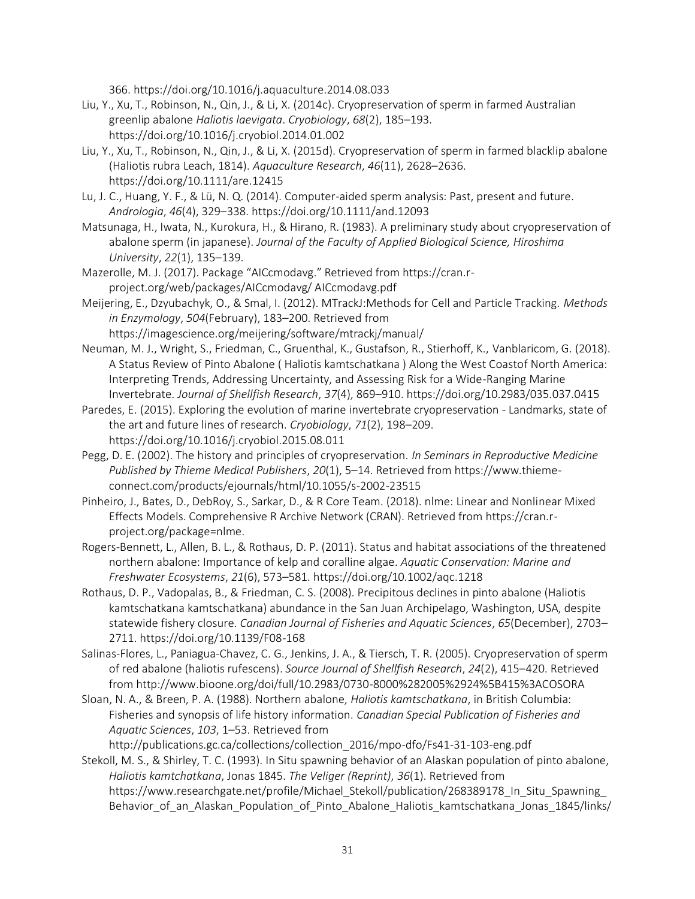366. https://doi.org/10.1016/j.aquaculture.2014.08.033

- Liu, Y., Xu, T., Robinson, N., Qin, J., & Li, X. (2014c). Cryopreservation of sperm in farmed Australian greenlip abalone *Haliotis laevigata*. *Cryobiology*, *68*(2), 185–193. https://doi.org/10.1016/j.cryobiol.2014.01.002
- Liu, Y., Xu, T., Robinson, N., Qin, J., & Li, X. (2015d). Cryopreservation of sperm in farmed blacklip abalone (Haliotis rubra Leach, 1814). *Aquaculture Research*, *46*(11), 2628–2636. https://doi.org/10.1111/are.12415
- Lu, J. C., Huang, Y. F., & Lü, N. Q. (2014). Computer-aided sperm analysis: Past, present and future. *Andrologia*, *46*(4), 329–338. https://doi.org/10.1111/and.12093
- Matsunaga, H., Iwata, N., Kurokura, H., & Hirano, R. (1983). A preliminary study about cryopreservation of abalone sperm (in japanese). *Journal of the Faculty of Applied Biological Science, Hiroshima University*, *22*(1), 135–139.
- Mazerolle, M. J. (2017). Package "AICcmodavg." Retrieved from https://cran.rproject.org/web/packages/AICcmodavg/ AICcmodavg.pdf
- Meijering, E., Dzyubachyk, O., & Smal, I. (2012). MTrackJ:Methods for Cell and Particle Tracking. *Methods in Enzymology*, *504*(February), 183–200. Retrieved from https://imagescience.org/meijering/software/mtrackj/manual/
- Neuman, M. J., Wright, S., Friedman, C., Gruenthal, K., Gustafson, R., Stierhoff, K., Vanblaricom, G. (2018). A Status Review of Pinto Abalone ( Haliotis kamtschatkana ) Along the West Coastof North America: Interpreting Trends, Addressing Uncertainty, and Assessing Risk for a Wide-Ranging Marine Invertebrate. *Journal of Shellfish Research*, *37*(4), 869–910. https://doi.org/10.2983/035.037.0415
- Paredes, E. (2015). Exploring the evolution of marine invertebrate cryopreservation Landmarks, state of the art and future lines of research. *Cryobiology*, *71*(2), 198–209. https://doi.org/10.1016/j.cryobiol.2015.08.011
- Pegg, D. E. (2002). The history and principles of cryopreservation. *In Seminars in Reproductive Medicine Published by Thieme Medical Publishers*, *20*(1), 5–14. Retrieved from https://www.thiemeconnect.com/products/ejournals/html/10.1055/s-2002-23515
- Pinheiro, J., Bates, D., DebRoy, S., Sarkar, D., & R Core Team. (2018). nlme: Linear and Nonlinear Mixed Effects Models. Comprehensive R Archive Network (CRAN). Retrieved from https://cran.rproject.org/package=nlme.
- Rogers-Bennett, L., Allen, B. L., & Rothaus, D. P. (2011). Status and habitat associations of the threatened northern abalone: Importance of kelp and coralline algae. *Aquatic Conservation: Marine and Freshwater Ecosystems*, *21*(6), 573–581. https://doi.org/10.1002/aqc.1218
- Rothaus, D. P., Vadopalas, B., & Friedman, C. S. (2008). Precipitous declines in pinto abalone (Haliotis kamtschatkana kamtschatkana) abundance in the San Juan Archipelago, Washington, USA, despite statewide fishery closure. *Canadian Journal of Fisheries and Aquatic Sciences*, *65*(December), 2703– 2711. https://doi.org/10.1139/F08-168
- Salinas-Flores, L., Paniagua-Chavez, C. G., Jenkins, J. A., & Tiersch, T. R. (2005). Cryopreservation of sperm of red abalone (haliotis rufescens). *Source Journal of Shellfish Research*, *24*(2), 415–420. Retrieved from http://www.bioone.org/doi/full/10.2983/0730-8000%282005%2924%5B415%3ACOSORA
- Sloan, N. A., & Breen, P. A. (1988). Northern abalone, *Haliotis kamtschatkana*, in British Columbia: Fisheries and synopsis of life history information. *Canadian Special Publication of Fisheries and Aquatic Sciences*, *103*, 1–53. Retrieved from http://publications.gc.ca/collections/collection\_2016/mpo-dfo/Fs41-31-103-eng.pdf
- Stekoll, M. S., & Shirley, T. C. (1993). In Situ spawning behavior of an Alaskan population of pinto abalone, *Haliotis kamtchatkana*, Jonas 1845. *The Veliger (Reprint)*, *36*(1). Retrieved from https://www.researchgate.net/profile/Michael\_Stekoll/publication/268389178\_In\_Situ\_Spawning\_ Behavior\_of\_an\_Alaskan\_Population\_of\_Pinto\_Abalone\_Haliotis\_kamtschatkana\_Jonas\_1845/links/